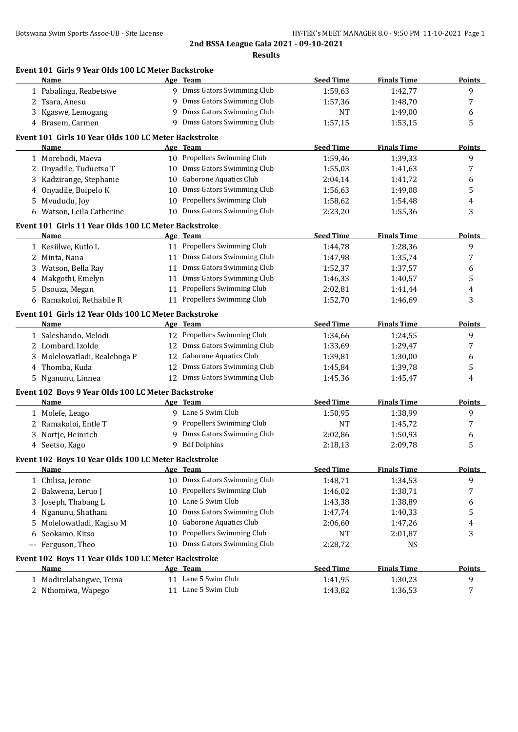|             | Event 101 Girls 9 Year Olds 100 LC Meter Backstroke<br>Name |    | Age Team                                | <b>Seed Time</b> | <b>Finals Time</b>   | Points        |
|-------------|-------------------------------------------------------------|----|-----------------------------------------|------------------|----------------------|---------------|
|             | 1 Pabalinga, Reabetswe                                      |    | 9 Dmss Gators Swimming Club             | 1:59,63          | 1:42,77              | 9             |
|             | 2 Tsara, Anesu                                              |    | 9 Dmss Gators Swimming Club             | 1:57,36          | 1:48,70              | 7             |
|             | 3 Kgaswe, Lemogang                                          |    | 9 Dmss Gators Swimming Club             | NT               | 1:49,00              | 6             |
|             | 4 Brasem, Carmen                                            |    | 9 Dmss Gators Swimming Club             | 1:57,15          | 1:53,15              | 5             |
|             | Event 101 Girls 10 Year Olds 100 LC Meter Backstroke        |    |                                         |                  |                      |               |
|             | Name                                                        |    | Age Team                                | <b>Seed Time</b> | <b>Finals Time</b>   | <b>Points</b> |
|             | 1 Morebodi, Maeva                                           |    | 10 Propellers Swimming Club             | 1:59,46          | 1:39,33              | 9             |
| 2           | Onyadile, Tuduetso T                                        |    | 10 Dmss Gators Swimming Club            | 1:55,03          | 1:41,63              | 7             |
| 3.          | Kadzirange, Stephanie                                       |    | 10 Gaborone Aquatics Club               | 2:04,14          | 1:41,72              | 6             |
| 4           | Onyadile, Boipelo K                                         |    | 10 Dmss Gators Swimming Club            | 1:56,63          | 1:49,08              | 5             |
| 5.          | Mvududu, Joy                                                |    | 10 Propellers Swimming Club             | 1:58,62          | 1:54,48              | 4             |
| 6           | Watson, Leila Catherine                                     |    | 10 Dmss Gators Swimming Club            | 2:23,20          | 1:55,36              | 3             |
|             |                                                             |    |                                         |                  |                      |               |
|             | Event 101 Girls 11 Year Olds 100 LC Meter Backstroke        |    |                                         |                  |                      |               |
|             | Name                                                        |    | Age Team<br>11 Propellers Swimming Club | <b>Seed Time</b> | <b>Finals Time</b>   | <b>Points</b> |
|             | 1 Kesiilwe, Kutlo L                                         |    |                                         | 1:44,78          | 1:28,36              | 9             |
|             | 2 Minta, Nana                                               |    | 11 Dmss Gators Swimming Club            | 1:47,98          | 1:35,74              | 7             |
| 3.          | Watson, Bella Ray                                           |    | 11 Dmss Gators Swimming Club            | 1:52,37          | 1:37,57              | 6             |
|             | 4 Makgothi, Emelyn                                          |    | 11 Dmss Gators Swimming Club            | 1:46,33          | 1:40,57              | 5             |
|             | 5 Dsouza, Megan                                             |    | 11 Propellers Swimming Club             | 2:02,81          | 1:41,44              | 4             |
|             | 6 Ramakoloi, Rethabile R                                    |    | 11 Propellers Swimming Club             | 1:52,70          | 1:46,69              | 3             |
|             | Event 101 Girls 12 Year Olds 100 LC Meter Backstroke        |    |                                         |                  |                      |               |
|             | Name                                                        |    | Age Team                                | <b>Seed Time</b> | <b>Finals Time</b>   | <b>Points</b> |
|             | 1 Saleshando, Melodi                                        |    | 12 Propellers Swimming Club             | 1:34,66          | 1:24,55              | 9             |
|             | 2 Lombard, Izolde                                           |    | 12 Dmss Gators Swimming Club            | 1:33,69          | 1:29,47              | 7             |
|             | 3 Molelowatladi, Realeboga P                                |    | 12 Gaborone Aquatics Club               | 1:39,81          | 1:30,00              | 6             |
|             | 4 Thomba, Kuda                                              | 12 | Dmss Gators Swimming Club               | 1:45,84          | 1:39,78              | 5             |
|             | 5 Nganunu, Linnea                                           |    | 12 Dmss Gators Swimming Club            | 1:45,36          | 1:45,47              | 4             |
|             | Event 102 Boys 9 Year Olds 100 LC Meter Backstroke          |    |                                         |                  |                      |               |
|             | Name                                                        |    | Age Team                                | <b>Seed Time</b> | <b>Finals Time</b>   | Points        |
|             | 1 Molefe, Leago                                             |    | 9 Lane 5 Swim Club                      | 1:50,95          | 1:38,99              | 9             |
| 2           | Ramakoloi, Entle T                                          |    | 9 Propellers Swimming Club              | NT               | 1:45,72              | 7             |
| 3.          | Nortje, Heinrich                                            | 9  | Dmss Gators Swimming Club               | 2:02,86          | 1:50,93              | 6             |
|             | 4 Seetso, Kago                                              |    | 9 Bdf Dolphins                          | 2:18,13          | 2:09,78              | 5             |
|             | Event 102 Boys 10 Year Olds 100 LC Meter Backstroke         |    |                                         |                  |                      |               |
|             | <b>Name</b>                                                 |    | Age Team                                | <b>Seed Time</b> | <b>Finals Time</b>   | <b>Points</b> |
|             | 1 Chilisa, Jerone                                           |    | 10 Dmss Gators Swimming Club            | 1:48,71          | 1:34,53              | 9             |
| 2           | Bakwena, Leruo J                                            | 10 | Propellers Swimming Club                | 1:46,02          | 1:38,71              | 7             |
| 3           | Joseph, Thabang L                                           | 10 | Lane 5 Swim Club                        | 1:43,38          | 1:38,89              | 6             |
| 4           | Nganunu, Shathani                                           | 10 | Dmss Gators Swimming Club               | 1:47,74          | 1:40,33              | 5             |
| 5.          | Molelowatladi, Kagiso M                                     | 10 | <b>Gaborone Aquatics Club</b>           | 2:06,60          | 1:47,26              | 4             |
|             | Seokamo, Kitso                                              | 10 | Propellers Swimming Club                | NT               |                      | 3             |
| 6           | Ferguson, Theo                                              |    | 10 Dmss Gators Swimming Club            | 2:28,72          | 2:01,87<br><b>NS</b> |               |
| $-\, -\, -$ |                                                             |    |                                         |                  |                      |               |
|             | Event 102 Boys 11 Year Olds 100 LC Meter Backstroke         |    |                                         |                  |                      |               |
|             | <u>Name</u>                                                 |    | Age Team                                | <b>Seed Time</b> | <b>Finals Time</b>   | <b>Points</b> |
|             | 1 Modirelabangwe, Tema                                      |    | 11 Lane 5 Swim Club                     | 1:41,95          | 1:30,23              | 9             |
|             | 2 Nthomiwa, Wapego                                          |    | 11 Lane 5 Swim Club                     | 1:43,82          | 1:36,53              | 7             |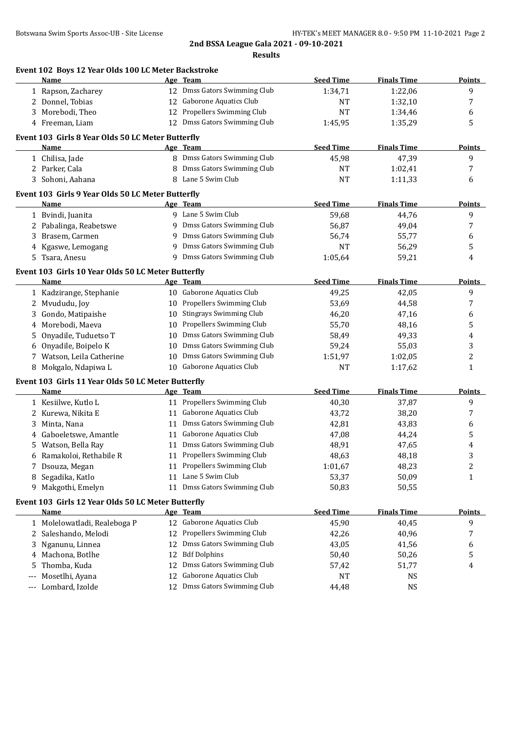|       | Event 102 Boys 12 Year Olds 100 LC Meter Backstroke        |    |                                |                  |                    |                |
|-------|------------------------------------------------------------|----|--------------------------------|------------------|--------------------|----------------|
|       | Name                                                       |    | Age Team                       | <b>Seed Time</b> | <b>Finals Time</b> | Points         |
|       | 1 Rapson, Zacharey                                         |    | 12 Dmss Gators Swimming Club   | 1:34,71          | 1:22,06            | 9              |
|       | 2 Donnel, Tobias                                           | 12 | Gaborone Aquatics Club         | NT               | 1:32,10            | 7              |
|       | 3 Morebodi, Theo                                           | 12 | Propellers Swimming Club       | <b>NT</b>        | 1:34,46            | 6              |
|       | 4 Freeman, Liam                                            |    | 12 Dmss Gators Swimming Club   | 1:45,95          | 1:35,29            | 5              |
|       | Event 103 Girls 8 Year Olds 50 LC Meter Butterfly          |    |                                |                  |                    |                |
|       | Name                                                       |    | Age Team                       | <b>Seed Time</b> | <b>Finals Time</b> | Points         |
|       | 1 Chilisa, Jade                                            |    | 8 Dmss Gators Swimming Club    | 45,98            | 47,39              | 9              |
|       | 2 Parker, Cala                                             |    | 8 Dmss Gators Swimming Club    | <b>NT</b>        | 1:02,41            | 7              |
|       | 3 Sohoni, Aahana                                           |    | 8 Lane 5 Swim Club             | <b>NT</b>        | 1:11,33            | 6              |
|       | Event 103 Girls 9 Year Olds 50 LC Meter Butterfly          |    |                                |                  |                    |                |
|       | Name                                                       |    | Age Team                       | <b>Seed Time</b> | <b>Finals Time</b> | <b>Points</b>  |
|       | 1 Bvindi, Juanita                                          |    | 9 Lane 5 Swim Club             | 59,68            | 44,76              | 9              |
|       | 2 Pabalinga, Reabetswe                                     | 9  | Dmss Gators Swimming Club      | 56,87            | 49,04              | 7              |
| 3     | Brasem, Carmen                                             | 9  | Dmss Gators Swimming Club      | 56,74            | 55,77              | 6              |
| 4     | Kgaswe, Lemogang                                           | 9  | Dmss Gators Swimming Club      | <b>NT</b>        | 56,29              | 5              |
| 5.    | Tsara, Anesu                                               |    | 9 Dmss Gators Swimming Club    | 1:05,64          | 59,21              | 4              |
|       | Event 103 Girls 10 Year Olds 50 LC Meter Butterfly         |    |                                |                  |                    |                |
|       | <b>Name</b>                                                |    | Age Team                       | <b>Seed Time</b> | <b>Finals Time</b> | <b>Points</b>  |
|       | 1 Kadzirange, Stephanie                                    |    | 10 Gaborone Aquatics Club      | 49,25            | 42,05              | 9              |
| 2     | Mvududu, Joy                                               | 10 | Propellers Swimming Club       | 53,69            | 44,58              | 7              |
| 3     | Gondo, Matipaishe                                          | 10 | <b>Stingrays Swimming Club</b> | 46,20            | 47,16              | 6              |
| 4     | Morebodi, Maeva                                            | 10 | Propellers Swimming Club       | 55,70            | 48,16              | 5              |
| 5     | Onyadile, Tuduetso T                                       | 10 | Dmss Gators Swimming Club      | 58,49            | 49,33              | 4              |
| 6     | Onyadile, Boipelo K                                        | 10 | Dmss Gators Swimming Club      | 59,24            | 55,03              | 3              |
|       | 7 Watson, Leila Catherine                                  | 10 | Dmss Gators Swimming Club      | 1:51,97          | 1:02,05            | $\overline{c}$ |
|       | Mokgalo, Ndapiwa L                                         | 10 | Gaborone Aquatics Club         | <b>NT</b>        | 1:17,62            | $\mathbf{1}$   |
|       | Event 103 Girls 11 Year Olds 50 LC Meter Butterfly         |    |                                |                  |                    |                |
|       | Name                                                       |    | Age Team                       | <b>Seed Time</b> | <b>Finals Time</b> | <b>Points</b>  |
|       | 1 Kesiilwe, Kutlo L                                        |    | 11 Propellers Swimming Club    | 40,30            | 37,87              | 9              |
|       | 2 Kurewa, Nikita E                                         |    | 11 Gaborone Aquatics Club      | 43,72            | 38,20              | 7              |
| 3     | Minta, Nana                                                |    | 11 Dmss Gators Swimming Club   | 42,81            | 43,83              | 6              |
|       | 4 Gaboeletswe, Amantle                                     |    | 11 Gaborone Aquatics Club      | 47,08            | 44,24              | 5              |
|       | 5 Watson, Bella Ray                                        |    | 11 Dmss Gators Swimming Club   | 48,91            | 47,65              | 4              |
|       | 6 Ramakoloi, Rethabile R                                   |    | 11 Propellers Swimming Club    | 48,63            | 48,18              | 3              |
|       |                                                            |    | 11 Propellers Swimming Club    |                  | 48,23              | $\overline{c}$ |
|       | 7 Dsouza, Megan<br>Segadika, Katlo                         |    | 11 Lane 5 Swim Club            | 1:01,67<br>53,37 | 50,09              | $\mathbf{1}$   |
| 8     | 9 Makgothi, Emelyn                                         |    | 11 Dmss Gators Swimming Club   | 50,83            | 50,55              |                |
|       |                                                            |    |                                |                  |                    |                |
|       | Event 103 Girls 12 Year Olds 50 LC Meter Butterfly<br>Name |    | Age Team                       | <b>Seed Time</b> | <b>Finals Time</b> | <b>Points</b>  |
|       | 1 Molelowatladi, Realeboga P                               |    | 12 Gaborone Aquatics Club      | 45,90            | 40,45              | 9              |
| 2     | Saleshando, Melodi                                         | 12 | Propellers Swimming Club       | 42,26            | 40,96              | 7              |
|       |                                                            |    | Dmss Gators Swimming Club      |                  |                    |                |
| 3     | Nganunu, Linnea                                            | 12 |                                | 43,05            | 41,56              | 6              |
| 4     | Machona, Botlhe                                            | 12 | <b>Bdf Dolphins</b>            | 50,40            | 50,26              | 5              |
| 5     | Thomba, Kuda                                               | 12 | Dmss Gators Swimming Club      | 57,42            | 51,77              | 4              |
| $---$ | Mosetlhi, Ayana                                            | 12 | Gaborone Aquatics Club         | <b>NT</b>        | <b>NS</b>          |                |
| $---$ | Lombard, Izolde                                            | 12 | Dmss Gators Swimming Club      | 44,48            | <b>NS</b>          |                |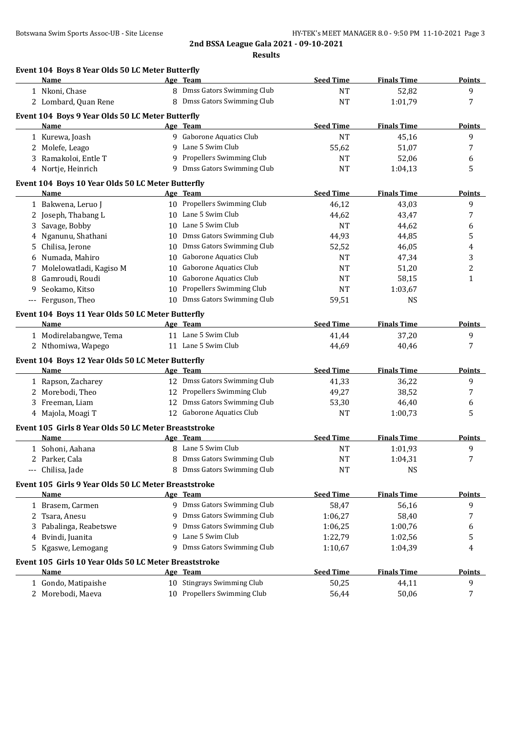|   | Name                                                  |    | Age Team                                   | <b>Seed Time</b> | <b>Finals Time</b> | <b>Points</b> |
|---|-------------------------------------------------------|----|--------------------------------------------|------------------|--------------------|---------------|
|   | 1 Nkoni, Chase                                        |    | 8 Dmss Gators Swimming Club                | <b>NT</b>        | 52,82              | 9             |
|   | 2 Lombard, Quan Rene                                  |    | 8 Dmss Gators Swimming Club                | <b>NT</b>        | 1:01,79            | 7             |
|   | Event 104 Boys 9 Year Olds 50 LC Meter Butterfly      |    |                                            |                  |                    |               |
|   | <b>Name</b>                                           |    | Age Team                                   | <b>Seed Time</b> | <b>Finals Time</b> | <b>Points</b> |
|   | 1 Kurewa, Joash                                       |    | 9 Gaborone Aquatics Club                   | <b>NT</b>        | 45,16              | 9             |
|   | 2 Molefe, Leago                                       |    | 9 Lane 5 Swim Club                         | 55,62            | 51,07              | 7             |
|   | 3 Ramakoloi, Entle T                                  |    | 9 Propellers Swimming Club                 | NT               | 52,06              | 6             |
|   | 4 Nortje, Heinrich                                    |    | 9 Dmss Gators Swimming Club                | <b>NT</b>        | 1:04,13            | 5             |
|   | Event 104 Boys 10 Year Olds 50 LC Meter Butterfly     |    |                                            |                  |                    |               |
|   | Name                                                  |    | Age Team                                   | <b>Seed Time</b> | <b>Finals Time</b> | <b>Points</b> |
|   | 1 Bakwena, Leruo J                                    |    | 10 Propellers Swimming Club                | 46,12            | 43,03              | 9             |
|   | 2 Joseph, Thabang L                                   |    | 10 Lane 5 Swim Club                        | 44,62            | 43,47              | 7             |
| 3 | Savage, Bobby                                         |    | 10 Lane 5 Swim Club                        | <b>NT</b>        | 44,62              | 6             |
| 4 | Nganunu, Shathani                                     |    | 10 Dmss Gators Swimming Club               | 44,93            | 44,85              | 5             |
| 5 | Chilisa, Jerone                                       |    | 10 Dmss Gators Swimming Club               | 52,52            | 46,05              | 4             |
| 6 | Numada, Mahiro                                        | 10 | Gaborone Aquatics Club                     | <b>NT</b>        | 47,34              | 3             |
| 7 | Molelowatladi, Kagiso M                               | 10 | Gaborone Aquatics Club                     | NT               | 51,20              | 2             |
| 8 | Gamroudi, Roudi                                       | 10 | Gaborone Aquatics Club                     | NT               | 58,15              | 1             |
| 9 | Seokamo, Kitso                                        | 10 | Propellers Swimming Club                   | NT               | 1:03,67            |               |
|   | --- Ferguson, Theo                                    |    | 10 Dmss Gators Swimming Club               | 59,51            | <b>NS</b>          |               |
|   |                                                       |    |                                            |                  |                    |               |
|   | Event 104 Boys 11 Year Olds 50 LC Meter Butterfly     |    |                                            | <b>Seed Time</b> |                    |               |
|   | Name                                                  |    | Age Team                                   |                  | <b>Finals Time</b> | <b>Points</b> |
|   | 1 Modirelabangwe, Tema                                |    | 11 Lane 5 Swim Club<br>11 Lane 5 Swim Club | 41,44            | 37,20              | 9<br>7        |
|   | 2 Nthomiwa, Wapego                                    |    |                                            | 44,69            | 40,46              |               |
|   | Event 104 Boys 12 Year Olds 50 LC Meter Butterfly     |    |                                            |                  |                    |               |
|   | Name                                                  |    | Age Team                                   | <b>Seed Time</b> | <b>Finals Time</b> | <b>Points</b> |
|   | 1 Rapson, Zacharey                                    |    | 12 Dmss Gators Swimming Club               | 41,33            | 36,22              | 9             |
|   | 2 Morebodi, Theo                                      |    | 12 Propellers Swimming Club                | 49,27            | 38,52              | 7             |
|   | 3 Freeman, Liam                                       |    | 12 Dmss Gators Swimming Club               | 53,30            | 46,40              | 6             |
|   | 4 Majola, Moagi T                                     |    | 12 Gaborone Aquatics Club                  | NT               | 1:00,73            | 5             |
|   | Event 105 Girls 8 Year Olds 50 LC Meter Breaststroke  |    |                                            |                  |                    |               |
|   | Name                                                  |    | Age Team                                   | <b>Seed Time</b> | <b>Finals Time</b> | <b>Points</b> |
|   | 1 Sohoni, Aahana                                      |    | 8 Lane 5 Swim Club                         | <b>NT</b>        | 1:01,93            | 9             |
|   | 2 Parker, Cala                                        |    | Dmss Gators Swimming Club                  | <b>NT</b>        | 1:04,31            |               |
|   | --- Chilisa, Jade                                     | 8  | Dmss Gators Swimming Club                  | <b>NT</b>        | <b>NS</b>          |               |
|   | Event 105 Girls 9 Year Olds 50 LC Meter Breaststroke  |    |                                            |                  |                    |               |
|   | Name                                                  |    | Age Team                                   | <b>Seed Time</b> | <b>Finals Time</b> | <b>Points</b> |
|   | 1 Brasem, Carmen                                      |    | 9 Dmss Gators Swimming Club                | 58,47            | 56,16              | 9             |
| 2 | Tsara, Anesu                                          |    | Dmss Gators Swimming Club                  | 1:06,27          | 58,40              | 7             |
|   | Pabalinga, Reabetswe                                  | 9  | Dmss Gators Swimming Club                  | 1:06,25          | 1:00,76            | 6             |
| 4 | Bvindi, Juanita                                       | q  | Lane 5 Swim Club                           | 1:22,79          | 1:02,56            | 5             |
|   | 5 Kgaswe, Lemogang                                    | 9  | Dmss Gators Swimming Club                  | 1:10,67          | 1:04,39            | 4             |
|   | Event 105 Girls 10 Year Olds 50 LC Meter Breaststroke |    |                                            |                  |                    |               |
|   | Name                                                  |    | Age Team                                   | <b>Seed Time</b> | <b>Finals Time</b> | <u>Points</u> |
|   | 1 Gondo, Matipaishe                                   |    | 10 Stingrays Swimming Club                 | 50,25            | 44,11              | 9             |
|   | 2 Morebodi, Maeva                                     |    | 10 Propellers Swimming Club                | 56,44            | 50,06              | 7             |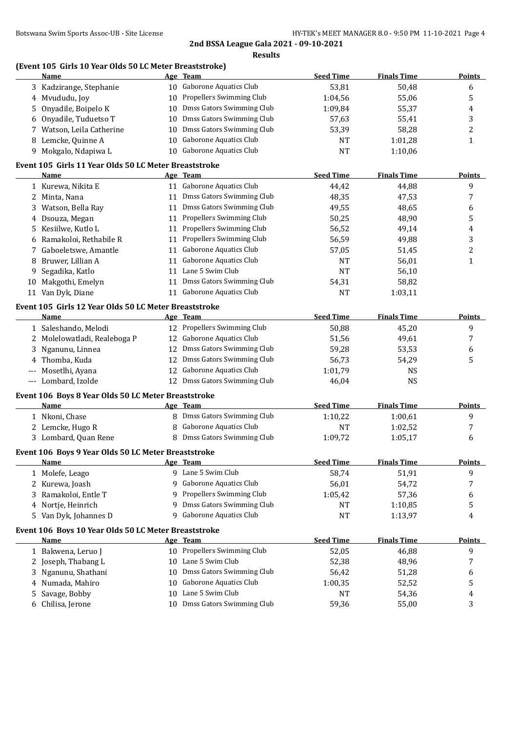## **(Event 105 Girls 10 Year Olds 50 LC Meter Breaststroke)**

|                     | <b>Name</b>                                           |    | Age Team                      | <b>Seed Time</b> | <b>Finals Time</b> | <b>Points</b>  |
|---------------------|-------------------------------------------------------|----|-------------------------------|------------------|--------------------|----------------|
|                     | 3 Kadzirange, Stephanie                               |    | 10 Gaborone Aquatics Club     | 53,81            | 50,48              | 6              |
|                     | 4 Mvududu, Joy                                        | 10 | Propellers Swimming Club      | 1:04,56          | 55,06              | 5              |
| 5                   | Onyadile, Boipelo K                                   | 10 | Dmss Gators Swimming Club     | 1:09,84          | 55,37              | 4              |
|                     | Onyadile, Tuduetso T                                  | 10 | Dmss Gators Swimming Club     | 57,63            | 55,41              | 3              |
|                     | Watson, Leila Catherine                               | 10 | Dmss Gators Swimming Club     | 53,39            | 58,28              | $\overline{c}$ |
|                     | 8 Lemcke, Quinne A                                    | 10 | Gaborone Aquatics Club        | NT               | 1:01,28            | 1              |
|                     | 9 Mokgalo, Ndapiwa L                                  |    | 10 Gaborone Aquatics Club     | <b>NT</b>        | 1:10,06            |                |
|                     | Event 105 Girls 11 Year Olds 50 LC Meter Breaststroke |    |                               |                  |                    |                |
|                     | Name                                                  |    | Age Team                      | <b>Seed Time</b> | <b>Finals Time</b> | <b>Points</b>  |
|                     | 1 Kurewa, Nikita E                                    |    | 11 Gaborone Aquatics Club     | 44,42            | 44,88              | 9              |
|                     | 2 Minta, Nana                                         |    | 11 Dmss Gators Swimming Club  | 48,35            | 47,53              | 7              |
|                     | 3 Watson, Bella Ray                                   |    | 11 Dmss Gators Swimming Club  | 49,55            | 48,65              | 6              |
| 4                   | Dsouza, Megan                                         |    | 11 Propellers Swimming Club   | 50,25            | 48,90              | 5              |
| 5.                  | Kesiilwe, Kutlo L                                     |    | 11 Propellers Swimming Club   | 56,52            | 49,14              | $\overline{4}$ |
| 6                   | Ramakoloi, Rethabile R                                | 11 | Propellers Swimming Club      | 56,59            | 49,88              | 3              |
| 7                   | Gaboeletswe, Amantle                                  | 11 | <b>Gaborone Aquatics Club</b> | 57,05            | 51,45              | $\overline{c}$ |
| 8                   | Bruwer, Lillian A                                     | 11 | Gaborone Aquatics Club        | <b>NT</b>        | 56,01              | 1              |
| 9                   | Segadika, Katlo                                       | 11 | Lane 5 Swim Club              | <b>NT</b>        | 56,10              |                |
|                     | 10 Makgothi, Emelyn                                   | 11 | Dmss Gators Swimming Club     | 54,31            | 58,82              |                |
|                     | 11 Van Dyk, Diane                                     | 11 | <b>Gaborone Aquatics Club</b> | <b>NT</b>        | 1:03,11            |                |
|                     |                                                       |    |                               |                  |                    |                |
|                     | Event 105 Girls 12 Year Olds 50 LC Meter Breaststroke |    |                               |                  |                    |                |
|                     | Name                                                  |    | Age Team                      | <b>Seed Time</b> | <b>Finals Time</b> | <b>Points</b>  |
|                     | 1 Saleshando, Melodi                                  |    | 12 Propellers Swimming Club   | 50,88            | 45,20              | 9              |
|                     | 2 Molelowatladi, Realeboga P                          |    | 12 Gaborone Aquatics Club     | 51,56            | 49,61              | 7              |
| 3                   | Nganunu, Linnea                                       | 12 | Dmss Gators Swimming Club     | 59,28            | 53,53              | 6              |
| 4                   | Thomba, Kuda                                          | 12 | Dmss Gators Swimming Club     | 56,73            | 54,29              | 5              |
| $\qquad \qquad - -$ | Mosetlhi, Ayana                                       | 12 | Gaborone Aquatics Club        | 1:01,79          | NS                 |                |
|                     | --- Lombard, Izolde                                   |    | 12 Dmss Gators Swimming Club  | 46,04            | <b>NS</b>          |                |
|                     | Event 106 Boys 8 Year Olds 50 LC Meter Breaststroke   |    |                               |                  |                    |                |
|                     | <b>Name</b>                                           |    | Age Team                      | <b>Seed Time</b> | <b>Finals Time</b> | <b>Points</b>  |
|                     | 1 Nkoni, Chase                                        |    | 8 Dmss Gators Swimming Club   | 1:10,22          | 1:00,61            | 9              |
|                     | 2 Lemcke, Hugo R                                      | 8  | <b>Gaborone Aquatics Club</b> | <b>NT</b>        | 1:02,52            | 7              |
|                     | 3 Lombard, Quan Rene                                  |    | 8 Dmss Gators Swimming Club   | 1:09,72          | 1:05,17            | 6              |
|                     | Event 106 Boys 9 Year Olds 50 LC Meter Breaststroke   |    |                               |                  |                    |                |
|                     | <b>Name</b>                                           |    | Age Team                      | Seed Time        | <b>Finals Time</b> | Points         |
|                     | 1 Molefe, Leago                                       |    | 9 Lane 5 Swim Club            | 58,74            | 51,91              | 9              |
| 2                   | Kurewa, Joash                                         | 9  | Gaborone Aquatics Club        | 56,01            | 54,72              | 7              |
| 3                   | Ramakoloi, Entle T                                    | 9  | Propellers Swimming Club      | 1:05,42          | 57,36              |                |
|                     |                                                       | 9  | Dmss Gators Swimming Club     |                  |                    | 6              |
| 4                   | Nortje, Heinrich                                      |    | Gaborone Aquatics Club        | NT               | 1:10,85            | 5              |
| 5.                  | Van Dyk, Johannes D                                   | 9  |                               | <b>NT</b>        | 1:13,97            | 4              |
|                     | Event 106 Boys 10 Year Olds 50 LC Meter Breaststroke  |    |                               |                  |                    |                |
|                     | <b>Name</b>                                           |    | Age Team                      | <b>Seed Time</b> | <b>Finals Time</b> | <b>Points</b>  |
|                     | 1 Bakwena, Leruo J                                    | 10 | Propellers Swimming Club      | 52,05            | 46,88              | 9              |
| 2                   | Joseph, Thabang L                                     | 10 | Lane 5 Swim Club              | 52,38            | 48,96              | 7              |
| 3                   | Nganunu, Shathani                                     | 10 | Dmss Gators Swimming Club     | 56,42            | 51,28              | 6              |
| 4                   | Numada, Mahiro                                        | 10 | Gaborone Aquatics Club        | 1:00,35          | 52,52              | 5              |
| 5                   | Savage, Bobby                                         | 10 | Lane 5 Swim Club              | <b>NT</b>        | 54,36              | 4              |
| 6                   | Chilisa, Jerone                                       | 10 | Dmss Gators Swimming Club     | 59,36            | 55,00              | 3              |
|                     |                                                       |    |                               |                  |                    |                |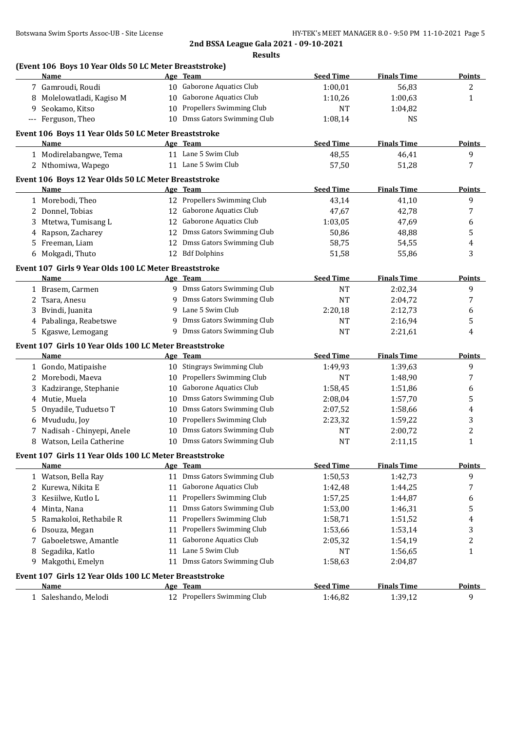|                      | (Event 106 Boys 10 Year Olds 50 LC Meter Breaststroke)<br>Name |    | Age Team                      | <b>Seed Time</b> | <b>Finals Time</b> | <b>Points</b>           |
|----------------------|----------------------------------------------------------------|----|-------------------------------|------------------|--------------------|-------------------------|
|                      | 7 Gamroudi, Roudi                                              |    | 10 Gaborone Aquatics Club     | 1:00,01          | 56,83              | 2                       |
| 8                    | Molelowatladi, Kagiso M                                        |    | 10 Gaborone Aquatics Club     | 1:10,26          | 1:00,63            | $\mathbf{1}$            |
| 9                    | Seokamo, Kitso                                                 |    | 10 Propellers Swimming Club   | <b>NT</b>        | 1:04,82            |                         |
| $\scriptstyle\cdots$ | Ferguson, Theo                                                 |    | 10 Dmss Gators Swimming Club  | 1:08,14          | <b>NS</b>          |                         |
|                      | Event 106 Boys 11 Year Olds 50 LC Meter Breaststroke           |    |                               |                  |                    |                         |
|                      | Name                                                           |    | Age Team                      | <b>Seed Time</b> | <b>Finals Time</b> | <b>Points</b>           |
|                      | 1 Modirelabangwe, Tema                                         |    | 11 Lane 5 Swim Club           | 48,55            | 46,41              | 9                       |
|                      | 2 Nthomiwa, Wapego                                             |    | 11 Lane 5 Swim Club           | 57,50            | 51,28              | 7                       |
|                      | Event 106 Boys 12 Year Olds 50 LC Meter Breaststroke           |    |                               |                  |                    |                         |
|                      | Name                                                           |    | Age Team                      | <b>Seed Time</b> | <b>Finals Time</b> | <b>Points</b>           |
|                      | 1 Morebodi, Theo                                               |    | 12 Propellers Swimming Club   | 43,14            | 41,10              | 9                       |
|                      | 2 Donnel, Tobias                                               |    | 12 Gaborone Aquatics Club     | 47,67            | 42,78              | 7                       |
| 3                    | Mtetwa, Tumisang L                                             |    | 12 Gaborone Aquatics Club     | 1:03,05          | 47,69              | 6                       |
| 4                    | Rapson, Zacharey                                               |    | 12 Dmss Gators Swimming Club  | 50,86            | 48,88              | 5                       |
| 5                    | Freeman, Liam                                                  |    | 12 Dmss Gators Swimming Club  | 58,75            | 54,55              | 4                       |
|                      | 6 Mokgadi, Thuto                                               |    | 12 Bdf Dolphins               | 51,58            | 55,86              | 3                       |
|                      | Event 107 Girls 9 Year Olds 100 LC Meter Breaststroke          |    |                               |                  |                    |                         |
|                      | Name                                                           |    | Age Team                      | <b>Seed Time</b> | <b>Finals Time</b> | <b>Points</b>           |
|                      | 1 Brasem, Carmen                                               |    | 9 Dmss Gators Swimming Club   | <b>NT</b>        | 2:02,34            | 9                       |
| 2                    | Tsara, Anesu                                                   | 9  | Dmss Gators Swimming Club     | <b>NT</b>        | 2:04,72            | 7                       |
| 3                    | Bvindi, Juanita                                                | 9  | Lane 5 Swim Club              | 2:20,18          | 2:12,73            | 6                       |
|                      | 4 Pabalinga, Reabetswe                                         | 9  | Dmss Gators Swimming Club     | NT               | 2:16,94            | 5                       |
|                      | 5 Kgaswe, Lemogang                                             |    | 9 Dmss Gators Swimming Club   | <b>NT</b>        | 2:21,61            | 4                       |
|                      | Event 107 Girls 10 Year Olds 100 LC Meter Breaststroke         |    |                               |                  |                    |                         |
|                      | Name                                                           |    | Age Team                      | <b>Seed Time</b> | <b>Finals Time</b> | <b>Points</b>           |
|                      | 1 Gondo, Matipaishe                                            |    | 10 Stingrays Swimming Club    | 1:49,93          | 1:39,63            | 9                       |
| 2                    | Morebodi, Maeva                                                |    | 10 Propellers Swimming Club   | <b>NT</b>        | 1:48,90            | 7                       |
|                      | Kadzirange, Stephanie                                          | 10 | <b>Gaborone Aquatics Club</b> | 1:58,45          | 1:51,86            | 6                       |
| 4                    | Mutie, Muela                                                   | 10 | Dmss Gators Swimming Club     | 2:08,04          | 1:57,70            | 5                       |
| 5                    | Onyadile, Tuduetso T                                           | 10 | Dmss Gators Swimming Club     | 2:07,52          | 1:58,66            | 4                       |
| 6                    | Mvududu, Joy                                                   | 10 | Propellers Swimming Club      | 2:23,32          | 1:59,22            | 3                       |
| 7                    | Nadisah - Chinyepi, Anele                                      | 10 | Dmss Gators Swimming Club     | NT               | 2:00,72            | $\overline{\mathbf{c}}$ |
|                      | 8 Watson, Leila Catherine                                      |    | 10 Dmss Gators Swimming Club  | <b>NT</b>        | 2:11,15            | 1                       |
|                      | Event 107 Girls 11 Year Olds 100 LC Meter Breaststroke         |    |                               |                  |                    |                         |
|                      | Name                                                           |    | Age Team                      | <b>Seed Time</b> | <b>Finals Time</b> | <b>Points</b>           |
|                      | 1 Watson, Bella Ray                                            |    | 11 Dmss Gators Swimming Club  | 1:50,53          | 1:42,73            | 9                       |
| 2                    | Kurewa, Nikita E                                               |    | 11 Gaborone Aquatics Club     | 1:42,48          | 1:44,25            | 7                       |
| 3                    | Kesiilwe, Kutlo L                                              | 11 | Propellers Swimming Club      | 1:57,25          | 1:44,87            | 6                       |
| 4                    | Minta, Nana                                                    | 11 | Dmss Gators Swimming Club     | 1:53,00          | 1:46,31            | 5                       |
| 5                    | Ramakoloi, Rethabile R                                         | 11 | Propellers Swimming Club      | 1:58,71          | 1:51,52            | 4                       |
| 6                    | Dsouza, Megan                                                  |    | 11 Propellers Swimming Club   | 1:53,66          | 1:53,14            | 3                       |
| 7                    | Gaboeletswe, Amantle                                           | 11 | Gaborone Aquatics Club        | 2:05,32          | 1:54,19            | $\overline{\mathbf{c}}$ |
| 8                    | Segadika, Katlo                                                |    | 11 Lane 5 Swim Club           | NT               | 1:56,65            | 1                       |
| 9                    | Makgothi, Emelyn                                               |    | 11 Dmss Gators Swimming Club  | 1:58,63          | 2:04,87            |                         |
|                      | Event 107 Girls 12 Year Olds 100 LC Meter Breaststroke         |    |                               |                  |                    |                         |
|                      | <b>Name</b>                                                    |    | Age Team                      | <b>Seed Time</b> | <b>Finals Time</b> | <b>Points</b>           |
|                      | 1 Saleshando, Melodi                                           |    | 12 Propellers Swimming Club   | 1:46,82          | 1:39,12            | 9                       |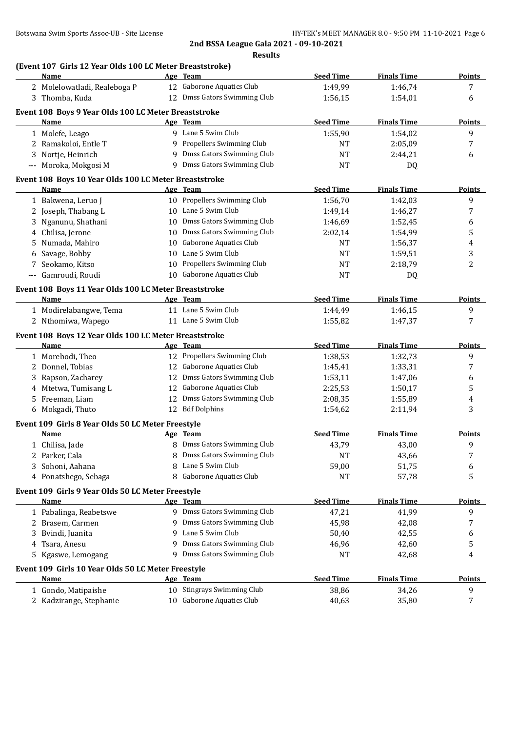|              | (Event 107 Girls 12 Year Olds 100 LC Meter Breaststroke)<br>Name |    | Age Team                               | <b>Seed Time</b>          | <b>Finals Time</b>          | <b>Points</b>      |
|--------------|------------------------------------------------------------------|----|----------------------------------------|---------------------------|-----------------------------|--------------------|
|              | 2 Molelowatladi, Realeboga P                                     |    | 12 Gaborone Aquatics Club              | 1:49,99                   | 1:46,74                     | 7                  |
|              | 3 Thomba, Kuda                                                   |    | 12 Dmss Gators Swimming Club           | 1:56,15                   | 1:54,01                     | 6                  |
|              |                                                                  |    |                                        |                           |                             |                    |
|              | Event 108 Boys 9 Year Olds 100 LC Meter Breaststroke             |    |                                        |                           |                             |                    |
|              | Name                                                             |    | Age Team                               | <b>Seed Time</b>          | <b>Finals Time</b>          | <b>Points</b>      |
|              | 1 Molefe, Leago                                                  |    | 9 Lane 5 Swim Club                     | 1:55,90                   | 1:54,02                     | 9                  |
|              | 2 Ramakoloi, Entle T                                             |    | 9 Propellers Swimming Club             | NT                        | 2:05,09                     | 7                  |
|              | 3 Nortje, Heinrich                                               |    | 9 Dmss Gators Swimming Club            | NT                        | 2:44,21                     | 6                  |
|              | --- Moroka, Mokgosi M                                            |    | 9 Dmss Gators Swimming Club            | <b>NT</b>                 | DQ                          |                    |
|              | Event 108 Boys 10 Year Olds 100 LC Meter Breaststroke            |    |                                        |                           |                             |                    |
|              | Name                                                             |    | Age Team                               | <b>Seed Time</b>          | <b>Finals Time</b>          | <u>Points</u>      |
|              | 1 Bakwena, Leruo J                                               |    | 10 Propellers Swimming Club            | 1:56,70                   | 1:42,03                     | 9                  |
|              | 2 Joseph, Thabang L                                              |    | 10 Lane 5 Swim Club                    | 1:49,14                   | 1:46,27                     | 7                  |
|              | 3 Nganunu, Shathani                                              | 10 | Dmss Gators Swimming Club              | 1:46,69                   | 1:52,45                     | 6                  |
| 4            | Chilisa, Jerone                                                  | 10 | Dmss Gators Swimming Club              | 2:02,14                   | 1:54,99                     | 5                  |
| 5.           | Numada, Mahiro                                                   | 10 | <b>Gaborone Aquatics Club</b>          | NT                        | 1:56,37                     | 4                  |
| 6            | Savage, Bobby                                                    | 10 | Lane 5 Swim Club                       | NT                        | 1:59,51                     | 3                  |
|              | 7 Seokamo, Kitso                                                 | 10 | Propellers Swimming Club               | NT                        | 2:18,79                     | 2                  |
|              | --- Gamroudi, Roudi                                              |    | 10 Gaborone Aquatics Club              | <b>NT</b>                 | DQ                          |                    |
|              | Event 108 Boys 11 Year Olds 100 LC Meter Breaststroke            |    |                                        |                           |                             |                    |
|              | Name                                                             |    | Age Team                               | <b>Seed Time</b>          | <b>Finals Time</b>          | <b>Points</b>      |
|              | 1 Modirelabangwe, Tema                                           |    | 11 Lane 5 Swim Club                    | 1:44,49                   | 1:46,15                     | 9                  |
|              | 2 Nthomiwa, Wapego                                               |    | 11 Lane 5 Swim Club                    | 1:55,82                   | 1:47,37                     | 7                  |
|              |                                                                  |    |                                        |                           |                             |                    |
|              | Event 108 Boys 12 Year Olds 100 LC Meter Breaststroke<br>Name    |    | Age Team                               | <b>Seed Time</b>          | <b>Finals Time</b>          | Points             |
|              | 1 Morebodi, Theo                                                 |    | 12 Propellers Swimming Club            | 1:38,53                   | 1:32,73                     | 9                  |
|              | 2 Donnel, Tobias                                                 |    | 12 Gaborone Aquatics Club              | 1:45,41                   | 1:33,31                     | 7                  |
|              | 3 Rapson, Zacharey                                               | 12 | Dmss Gators Swimming Club              | 1:53,11                   | 1:47,06                     | 6                  |
|              | 4 Mtetwa, Tumisang L                                             |    | 12 Gaborone Aquatics Club              | 2:25,53                   | 1:50,17                     | 5                  |
|              | 5 Freeman, Liam                                                  |    | 12 Dmss Gators Swimming Club           | 2:08,35                   | 1:55,89                     | 4                  |
|              | 6 Mokgadi, Thuto                                                 |    | 12 Bdf Dolphins                        | 1:54,62                   | 2:11,94                     | 3                  |
|              |                                                                  |    |                                        |                           |                             |                    |
|              | Event 109 Girls 8 Year Olds 50 LC Meter Freestyle                |    |                                        |                           |                             |                    |
|              | <u>Name</u>                                                      |    | Age Team                               | <b>Seed Time</b>          | <b>Finals Time</b>          | <b>Points</b>      |
|              | 1 Chilisa, Jade                                                  |    | 8 Dmss Gators Swimming Club            | 43,79                     | 43,00                       | 9                  |
|              | 2 Parker, Cala                                                   |    | Dmss Gators Swimming Club              | <b>NT</b>                 | 43,66                       | 7                  |
|              | Sohoni, Aahana                                                   | 8  | Lane 5 Swim Club                       | 59,00                     | 51,75                       | 6                  |
|              | 4 Ponatshego, Sebaga                                             | 8  | Gaborone Aquatics Club                 | NT                        | 57,78                       | 5                  |
|              | Event 109 Girls 9 Year Olds 50 LC Meter Freestyle                |    |                                        |                           |                             |                    |
|              | Name                                                             |    | Age Team                               | <b>Seed Time</b>          | <b>Finals Time</b>          | <b>Points</b>      |
|              | 1 Pabalinga, Reabetswe                                           |    | 9 Dmss Gators Swimming Club            | 47,21                     | 41,99                       | 9                  |
| $\mathbf{Z}$ | Brasem, Carmen                                                   | 9  | Dmss Gators Swimming Club              | 45,98                     | 42,08                       | 7                  |
|              |                                                                  |    |                                        |                           |                             |                    |
| 3            | Bvindi, Juanita                                                  | 9  | Lane 5 Swim Club                       | 50,40                     | 42,55                       | 6                  |
| 4            | Tsara, Anesu                                                     | 9  | Dmss Gators Swimming Club              | 46,96                     | 42,60                       | 5                  |
|              | 5 Kgaswe, Lemogang                                               |    | 9 Dmss Gators Swimming Club            | <b>NT</b>                 | 42,68                       | 4                  |
|              |                                                                  |    |                                        |                           |                             |                    |
|              | Event 109 Girls 10 Year Olds 50 LC Meter Freestyle<br>Name       |    |                                        |                           |                             |                    |
|              | 1 Gondo, Matipaishe                                              |    | Age Team<br>10 Stingrays Swimming Club | <b>Seed Time</b><br>38,86 | <b>Finals Time</b><br>34,26 | <b>Points</b><br>9 |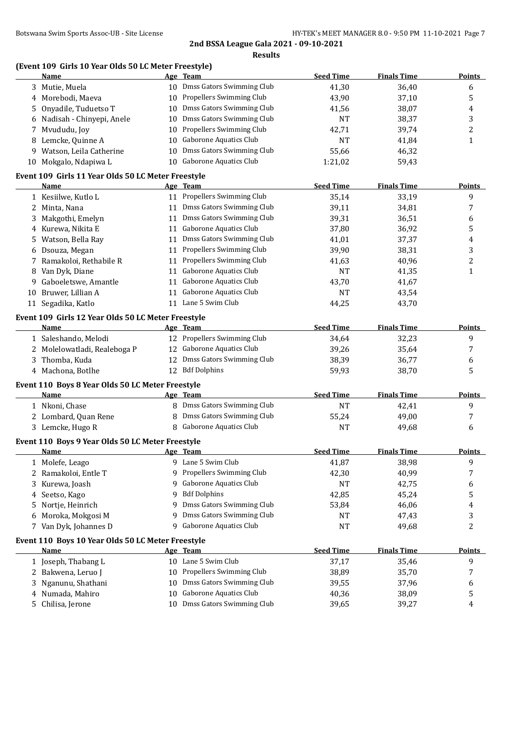|    | (Event 109 Girls 10 Year Olds 50 LC Meter Freestyle)<br>Name     |            | Age Team                     | <b>Seed Time</b> | <b>Finals Time</b> | <b>Points</b> |
|----|------------------------------------------------------------------|------------|------------------------------|------------------|--------------------|---------------|
|    | 3 Mutie, Muela                                                   |            | 10 Dmss Gators Swimming Club | 41,30            | 36,40              | 6             |
|    | 4 Morebodi, Maeva                                                |            | 10 Propellers Swimming Club  | 43,90            | 37,10              | 5             |
| 5. | Onyadile, Tuduetso T                                             |            | 10 Dmss Gators Swimming Club | 41,56            | 38,07              | 4             |
|    | 6 Nadisah - Chinyepi, Anele                                      |            | 10 Dmss Gators Swimming Club | NT               | 38,37              | 3             |
|    | 7 Mvududu, Joy                                                   |            | 10 Propellers Swimming Club  | 42,71            | 39,74              | 2             |
|    | 8 Lemcke, Quinne A                                               |            | 10 Gaborone Aquatics Club    | <b>NT</b>        | 41,84              | $\mathbf{1}$  |
|    | 9 Watson, Leila Catherine                                        |            | 10 Dmss Gators Swimming Club | 55,66            | 46,32              |               |
|    | 10 Mokgalo, Ndapiwa L                                            |            | 10 Gaborone Aquatics Club    | 1:21,02          | 59,43              |               |
|    | Event 109 Girls 11 Year Olds 50 LC Meter Freestyle               |            |                              |                  |                    |               |
|    | Name                                                             |            | Age Team                     | <b>Seed Time</b> | <b>Finals Time</b> | <b>Points</b> |
|    | 1 Kesiilwe, Kutlo L                                              |            | 11 Propellers Swimming Club  | 35,14            | 33,19              | 9             |
|    | 2 Minta, Nana                                                    |            | 11 Dmss Gators Swimming Club | 39,11            | 34,81              | 7             |
| 3  | Makgothi, Emelyn                                                 |            | 11 Dmss Gators Swimming Club | 39,31            | 36,51              | 6             |
|    | 4 Kurewa, Nikita E                                               |            | 11 Gaborone Aquatics Club    | 37,80            | 36,92              | 5             |
| 5  | Watson, Bella Ray                                                |            | 11 Dmss Gators Swimming Club | 41,01            | 37,37              | 4             |
| 6  | Dsouza, Megan                                                    |            | 11 Propellers Swimming Club  | 39,90            | 38,31              | 3             |
|    | Ramakoloi, Rethabile R                                           |            | 11 Propellers Swimming Club  | 41,63            | 40,96              | 2             |
| 8  | Van Dyk, Diane                                                   |            | 11 Gaborone Aquatics Club    | <b>NT</b>        | 41,35              | $\mathbf{1}$  |
| 9  | Gaboeletswe, Amantle                                             |            | 11 Gaborone Aquatics Club    | 43,70            | 41,67              |               |
| 10 | Bruwer, Lillian A                                                |            | 11 Gaborone Aquatics Club    | NT               | 43,54              |               |
|    | 11 Segadika, Katlo                                               |            | 11 Lane 5 Swim Club          | 44,25            | 43,70              |               |
|    | Event 109 Girls 12 Year Olds 50 LC Meter Freestyle               |            |                              |                  |                    |               |
|    | Name                                                             |            | Age Team                     | <b>Seed Time</b> | <b>Finals Time</b> | <b>Points</b> |
|    | 1 Saleshando, Melodi                                             |            | 12 Propellers Swimming Club  | 34,64            | 32,23              | 9             |
|    | 2 Molelowatladi, Realeboga P                                     |            | 12 Gaborone Aquatics Club    | 39,26            | 35,64              | 7             |
|    | 3 Thomba, Kuda                                                   |            | 12 Dmss Gators Swimming Club | 38,39            | 36,77              | 6             |
|    | 4 Machona, Botlhe                                                |            | 12 Bdf Dolphins              | 59,93            | 38,70              | 5             |
|    | Event 110 Boys 8 Year Olds 50 LC Meter Freestyle                 |            |                              |                  |                    |               |
|    | Name                                                             |            | Age Team                     | <b>Seed Time</b> | <b>Finals Time</b> | Points        |
|    | 1 Nkoni, Chase                                                   |            | 8 Dmss Gators Swimming Club  | NT               | 42,41              | 9             |
|    | 2 Lombard, Quan Rene                                             |            | 8 Dmss Gators Swimming Club  | 55,24            | 49,00              | 7             |
|    | 3 Lemcke, Hugo R                                                 |            | 8 Gaborone Aquatics Club     | NT               | 49,68              | 6             |
|    | Event 110 Boys 9 Year Olds 50 LC Meter Freestyle<br>Name         | <u>Age</u> | <b>Team</b>                  | <u>Seed Time</u> | <u>Finals Time</u> | <u>Points</u> |
|    | 1 Molefe, Leago                                                  |            | 9 Lane 5 Swim Club           | 41,87            | 38,98              | 9             |
| 2  | Ramakoloi, Entle T                                               | 9          | Propellers Swimming Club     | 42,30            | 40,99              | 7             |
|    | Kurewa, Joash                                                    | 9          | Gaborone Aquatics Club       | NT               | 42,75              | 6             |
| 4  | Seetso, Kago                                                     | 9          | <b>Bdf Dolphins</b>          | 42,85            | 45,24              | 5             |
| 5  | Nortje, Heinrich                                                 | 9          | Dmss Gators Swimming Club    | 53,84            | 46,06              | 4             |
|    |                                                                  | 9          | Dmss Gators Swimming Club    |                  |                    |               |
| 6  | Moroka, Mokgosi M<br>Van Dyk, Johannes D                         | 9          | Gaborone Aquatics Club       | NT<br><b>NT</b>  | 47,43              | 3<br>2        |
| 7  |                                                                  |            |                              |                  | 49,68              |               |
|    | Event 110 Boys 10 Year Olds 50 LC Meter Freestyle<br><u>Name</u> |            | Age Team                     | <b>Seed Time</b> | <b>Finals Time</b> | <b>Points</b> |
|    | 1 Joseph, Thabang L                                              |            | 10 Lane 5 Swim Club          | 37,17            | 35,46              | 9             |
|    | 2 Bakwena, Leruo J                                               | 10         | Propellers Swimming Club     | 38,89            | 35,70              | 7             |
|    | Nganunu, Shathani                                                |            | 10 Dmss Gators Swimming Club | 39,55            | 37,96              | 6             |
| 4  | Numada, Mahiro                                                   | 10         | Gaborone Aquatics Club       | 40,36            | 38,09              |               |
|    | Chilisa, Jerone                                                  |            | 10 Dmss Gators Swimming Club | 39,65            | 39,27              | 5<br>4        |
| 5. |                                                                  |            |                              |                  |                    |               |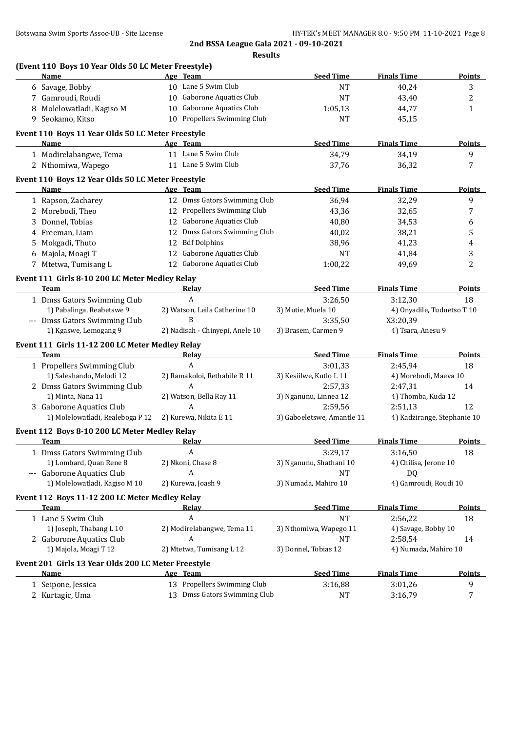| 10 Lane 5 Swim Club<br>6 Savage, Bobby<br><b>NT</b><br>Gaborone Aquatics Club<br>7 Gamroudi, Roudi<br><b>NT</b><br>10<br><b>Gaborone Aquatics Club</b><br>8 Molelowatladi, Kagiso M<br>10<br>1:05,13<br>10 Propellers Swimming Club<br>9 Seokamo, Kitso<br><b>NT</b><br>Event 110 Boys 11 Year Olds 50 LC Meter Freestyle<br><b>Seed Time</b><br>Name<br>Age Team<br>11 Lane 5 Swim Club<br>34,79<br>1 Modirelabangwe, Tema<br>11 Lane 5 Swim Club<br>2 Nthomiwa, Wapego<br>37,76<br>Event 110 Boys 12 Year Olds 50 LC Meter Freestyle<br><b>Seed Time</b><br>Name<br>Age Team<br>12 Dmss Gators Swimming Club<br>1 Rapson, Zacharey<br>36,94<br>12 Propellers Swimming Club<br>2 Morebodi, Theo<br>43,36<br>12 Gaborone Aquatics Club<br>3 Donnel, Tobias<br>40,80<br>12 Dmss Gators Swimming Club<br>4 Freeman, Liam<br>40,02<br><b>Bdf Dolphins</b><br>Mokgadi, Thuto<br>38,96<br>12<br>5.<br><b>Gaborone Aquatics Club</b><br>6 Majola, Moagi T<br><b>NT</b><br>12<br>12 Gaborone Aquatics Club<br>7 Mtetwa, Tumisang L<br>1:00,22<br>Event 111 Girls 8-10 200 LC Meter Medley Relay<br><b>Seed Time</b><br><b>Team</b><br><b>Relay</b><br>1 Dmss Gators Swimming Club<br>A<br>3:26,50<br>1) Pabalinga, Reabetswe 9<br>2) Watson, Leila Catherine 10<br>3) Mutie, Muela 10<br>--- Dmss Gators Swimming Club<br>B<br>3:35,50<br>1) Kgaswe, Lemogang 9<br>2) Nadisah - Chinyepi, Anele 10<br>3) Brasem, Carmen 9<br>Event 111 Girls 11-12 200 LC Meter Medley Relay<br><b>Seed Time</b><br>Team<br><b>Relay</b><br>$\boldsymbol{A}$<br>1 Propellers Swimming Club<br>3:01,33<br>1) Saleshando, Melodi 12<br>2) Ramakoloi, Rethabile R 11<br>3) Kesiilwe, Kutlo L 11<br>Α<br>2 Dmss Gators Swimming Club<br>2:57,33<br>1) Minta, Nana 11<br>2) Watson, Bella Ray 11<br>3) Nganunu, Linnea 12<br>A<br>3 Gaborone Aquatics Club<br>2:59,56 | 40,24<br>43,40<br>44,77<br>45,15<br><b>Finals Time</b><br>34,19<br>36,32<br><b>Finals Time</b><br>32,29<br>32,65<br>34,53<br>38,21<br>41,23<br>41,84<br>49,69<br><b>Finals Time</b><br>3:12,30<br>4) Onyadile, Tuduetso T 10<br>X3:20,39<br>4) Tsara, Anesu 9<br><b>Finals Time</b><br>2:45,94 | 3<br>$\boldsymbol{2}$<br>$\mathbf{1}$<br><b>Points</b><br>9<br>7<br><b>Points</b><br>9<br>7<br>6<br>5<br>$\overline{4}$<br>3<br>2<br>18 |
|-------------------------------------------------------------------------------------------------------------------------------------------------------------------------------------------------------------------------------------------------------------------------------------------------------------------------------------------------------------------------------------------------------------------------------------------------------------------------------------------------------------------------------------------------------------------------------------------------------------------------------------------------------------------------------------------------------------------------------------------------------------------------------------------------------------------------------------------------------------------------------------------------------------------------------------------------------------------------------------------------------------------------------------------------------------------------------------------------------------------------------------------------------------------------------------------------------------------------------------------------------------------------------------------------------------------------------------------------------------------------------------------------------------------------------------------------------------------------------------------------------------------------------------------------------------------------------------------------------------------------------------------------------------------------------------------------------------------------------------------------------------------------------------------------------------------------------------------|------------------------------------------------------------------------------------------------------------------------------------------------------------------------------------------------------------------------------------------------------------------------------------------------|-----------------------------------------------------------------------------------------------------------------------------------------|
|                                                                                                                                                                                                                                                                                                                                                                                                                                                                                                                                                                                                                                                                                                                                                                                                                                                                                                                                                                                                                                                                                                                                                                                                                                                                                                                                                                                                                                                                                                                                                                                                                                                                                                                                                                                                                                           |                                                                                                                                                                                                                                                                                                |                                                                                                                                         |
|                                                                                                                                                                                                                                                                                                                                                                                                                                                                                                                                                                                                                                                                                                                                                                                                                                                                                                                                                                                                                                                                                                                                                                                                                                                                                                                                                                                                                                                                                                                                                                                                                                                                                                                                                                                                                                           |                                                                                                                                                                                                                                                                                                |                                                                                                                                         |
|                                                                                                                                                                                                                                                                                                                                                                                                                                                                                                                                                                                                                                                                                                                                                                                                                                                                                                                                                                                                                                                                                                                                                                                                                                                                                                                                                                                                                                                                                                                                                                                                                                                                                                                                                                                                                                           |                                                                                                                                                                                                                                                                                                |                                                                                                                                         |
|                                                                                                                                                                                                                                                                                                                                                                                                                                                                                                                                                                                                                                                                                                                                                                                                                                                                                                                                                                                                                                                                                                                                                                                                                                                                                                                                                                                                                                                                                                                                                                                                                                                                                                                                                                                                                                           |                                                                                                                                                                                                                                                                                                |                                                                                                                                         |
|                                                                                                                                                                                                                                                                                                                                                                                                                                                                                                                                                                                                                                                                                                                                                                                                                                                                                                                                                                                                                                                                                                                                                                                                                                                                                                                                                                                                                                                                                                                                                                                                                                                                                                                                                                                                                                           |                                                                                                                                                                                                                                                                                                |                                                                                                                                         |
|                                                                                                                                                                                                                                                                                                                                                                                                                                                                                                                                                                                                                                                                                                                                                                                                                                                                                                                                                                                                                                                                                                                                                                                                                                                                                                                                                                                                                                                                                                                                                                                                                                                                                                                                                                                                                                           |                                                                                                                                                                                                                                                                                                |                                                                                                                                         |
|                                                                                                                                                                                                                                                                                                                                                                                                                                                                                                                                                                                                                                                                                                                                                                                                                                                                                                                                                                                                                                                                                                                                                                                                                                                                                                                                                                                                                                                                                                                                                                                                                                                                                                                                                                                                                                           |                                                                                                                                                                                                                                                                                                |                                                                                                                                         |
|                                                                                                                                                                                                                                                                                                                                                                                                                                                                                                                                                                                                                                                                                                                                                                                                                                                                                                                                                                                                                                                                                                                                                                                                                                                                                                                                                                                                                                                                                                                                                                                                                                                                                                                                                                                                                                           |                                                                                                                                                                                                                                                                                                |                                                                                                                                         |
|                                                                                                                                                                                                                                                                                                                                                                                                                                                                                                                                                                                                                                                                                                                                                                                                                                                                                                                                                                                                                                                                                                                                                                                                                                                                                                                                                                                                                                                                                                                                                                                                                                                                                                                                                                                                                                           |                                                                                                                                                                                                                                                                                                |                                                                                                                                         |
|                                                                                                                                                                                                                                                                                                                                                                                                                                                                                                                                                                                                                                                                                                                                                                                                                                                                                                                                                                                                                                                                                                                                                                                                                                                                                                                                                                                                                                                                                                                                                                                                                                                                                                                                                                                                                                           |                                                                                                                                                                                                                                                                                                |                                                                                                                                         |
|                                                                                                                                                                                                                                                                                                                                                                                                                                                                                                                                                                                                                                                                                                                                                                                                                                                                                                                                                                                                                                                                                                                                                                                                                                                                                                                                                                                                                                                                                                                                                                                                                                                                                                                                                                                                                                           |                                                                                                                                                                                                                                                                                                | Points<br><b>Points</b>                                                                                                                 |
|                                                                                                                                                                                                                                                                                                                                                                                                                                                                                                                                                                                                                                                                                                                                                                                                                                                                                                                                                                                                                                                                                                                                                                                                                                                                                                                                                                                                                                                                                                                                                                                                                                                                                                                                                                                                                                           |                                                                                                                                                                                                                                                                                                |                                                                                                                                         |
|                                                                                                                                                                                                                                                                                                                                                                                                                                                                                                                                                                                                                                                                                                                                                                                                                                                                                                                                                                                                                                                                                                                                                                                                                                                                                                                                                                                                                                                                                                                                                                                                                                                                                                                                                                                                                                           |                                                                                                                                                                                                                                                                                                |                                                                                                                                         |
|                                                                                                                                                                                                                                                                                                                                                                                                                                                                                                                                                                                                                                                                                                                                                                                                                                                                                                                                                                                                                                                                                                                                                                                                                                                                                                                                                                                                                                                                                                                                                                                                                                                                                                                                                                                                                                           |                                                                                                                                                                                                                                                                                                |                                                                                                                                         |
|                                                                                                                                                                                                                                                                                                                                                                                                                                                                                                                                                                                                                                                                                                                                                                                                                                                                                                                                                                                                                                                                                                                                                                                                                                                                                                                                                                                                                                                                                                                                                                                                                                                                                                                                                                                                                                           |                                                                                                                                                                                                                                                                                                |                                                                                                                                         |
|                                                                                                                                                                                                                                                                                                                                                                                                                                                                                                                                                                                                                                                                                                                                                                                                                                                                                                                                                                                                                                                                                                                                                                                                                                                                                                                                                                                                                                                                                                                                                                                                                                                                                                                                                                                                                                           |                                                                                                                                                                                                                                                                                                |                                                                                                                                         |
|                                                                                                                                                                                                                                                                                                                                                                                                                                                                                                                                                                                                                                                                                                                                                                                                                                                                                                                                                                                                                                                                                                                                                                                                                                                                                                                                                                                                                                                                                                                                                                                                                                                                                                                                                                                                                                           |                                                                                                                                                                                                                                                                                                |                                                                                                                                         |
|                                                                                                                                                                                                                                                                                                                                                                                                                                                                                                                                                                                                                                                                                                                                                                                                                                                                                                                                                                                                                                                                                                                                                                                                                                                                                                                                                                                                                                                                                                                                                                                                                                                                                                                                                                                                                                           |                                                                                                                                                                                                                                                                                                |                                                                                                                                         |
|                                                                                                                                                                                                                                                                                                                                                                                                                                                                                                                                                                                                                                                                                                                                                                                                                                                                                                                                                                                                                                                                                                                                                                                                                                                                                                                                                                                                                                                                                                                                                                                                                                                                                                                                                                                                                                           |                                                                                                                                                                                                                                                                                                |                                                                                                                                         |
|                                                                                                                                                                                                                                                                                                                                                                                                                                                                                                                                                                                                                                                                                                                                                                                                                                                                                                                                                                                                                                                                                                                                                                                                                                                                                                                                                                                                                                                                                                                                                                                                                                                                                                                                                                                                                                           |                                                                                                                                                                                                                                                                                                |                                                                                                                                         |
|                                                                                                                                                                                                                                                                                                                                                                                                                                                                                                                                                                                                                                                                                                                                                                                                                                                                                                                                                                                                                                                                                                                                                                                                                                                                                                                                                                                                                                                                                                                                                                                                                                                                                                                                                                                                                                           |                                                                                                                                                                                                                                                                                                |                                                                                                                                         |
|                                                                                                                                                                                                                                                                                                                                                                                                                                                                                                                                                                                                                                                                                                                                                                                                                                                                                                                                                                                                                                                                                                                                                                                                                                                                                                                                                                                                                                                                                                                                                                                                                                                                                                                                                                                                                                           |                                                                                                                                                                                                                                                                                                |                                                                                                                                         |
|                                                                                                                                                                                                                                                                                                                                                                                                                                                                                                                                                                                                                                                                                                                                                                                                                                                                                                                                                                                                                                                                                                                                                                                                                                                                                                                                                                                                                                                                                                                                                                                                                                                                                                                                                                                                                                           |                                                                                                                                                                                                                                                                                                |                                                                                                                                         |
|                                                                                                                                                                                                                                                                                                                                                                                                                                                                                                                                                                                                                                                                                                                                                                                                                                                                                                                                                                                                                                                                                                                                                                                                                                                                                                                                                                                                                                                                                                                                                                                                                                                                                                                                                                                                                                           |                                                                                                                                                                                                                                                                                                |                                                                                                                                         |
|                                                                                                                                                                                                                                                                                                                                                                                                                                                                                                                                                                                                                                                                                                                                                                                                                                                                                                                                                                                                                                                                                                                                                                                                                                                                                                                                                                                                                                                                                                                                                                                                                                                                                                                                                                                                                                           |                                                                                                                                                                                                                                                                                                |                                                                                                                                         |
|                                                                                                                                                                                                                                                                                                                                                                                                                                                                                                                                                                                                                                                                                                                                                                                                                                                                                                                                                                                                                                                                                                                                                                                                                                                                                                                                                                                                                                                                                                                                                                                                                                                                                                                                                                                                                                           |                                                                                                                                                                                                                                                                                                | 18                                                                                                                                      |
|                                                                                                                                                                                                                                                                                                                                                                                                                                                                                                                                                                                                                                                                                                                                                                                                                                                                                                                                                                                                                                                                                                                                                                                                                                                                                                                                                                                                                                                                                                                                                                                                                                                                                                                                                                                                                                           | 4) Morebodi, Maeva 10                                                                                                                                                                                                                                                                          |                                                                                                                                         |
|                                                                                                                                                                                                                                                                                                                                                                                                                                                                                                                                                                                                                                                                                                                                                                                                                                                                                                                                                                                                                                                                                                                                                                                                                                                                                                                                                                                                                                                                                                                                                                                                                                                                                                                                                                                                                                           | 2:47,31                                                                                                                                                                                                                                                                                        | 14                                                                                                                                      |
|                                                                                                                                                                                                                                                                                                                                                                                                                                                                                                                                                                                                                                                                                                                                                                                                                                                                                                                                                                                                                                                                                                                                                                                                                                                                                                                                                                                                                                                                                                                                                                                                                                                                                                                                                                                                                                           | 4) Thomba, Kuda 12                                                                                                                                                                                                                                                                             |                                                                                                                                         |
|                                                                                                                                                                                                                                                                                                                                                                                                                                                                                                                                                                                                                                                                                                                                                                                                                                                                                                                                                                                                                                                                                                                                                                                                                                                                                                                                                                                                                                                                                                                                                                                                                                                                                                                                                                                                                                           | 2:51,13                                                                                                                                                                                                                                                                                        | 12                                                                                                                                      |
| 1) Molelowatladi, Realeboga P 12<br>3) Gaboeletswe, Amantle 11<br>2) Kurewa, Nikita E 11                                                                                                                                                                                                                                                                                                                                                                                                                                                                                                                                                                                                                                                                                                                                                                                                                                                                                                                                                                                                                                                                                                                                                                                                                                                                                                                                                                                                                                                                                                                                                                                                                                                                                                                                                  | 4) Kadzirange, Stephanie 10                                                                                                                                                                                                                                                                    |                                                                                                                                         |
| Event 112 Boys 8-10 200 LC Meter Medley Relay                                                                                                                                                                                                                                                                                                                                                                                                                                                                                                                                                                                                                                                                                                                                                                                                                                                                                                                                                                                                                                                                                                                                                                                                                                                                                                                                                                                                                                                                                                                                                                                                                                                                                                                                                                                             |                                                                                                                                                                                                                                                                                                |                                                                                                                                         |
| <b>Seed Time</b><br>Team<br><u>Relav</u>                                                                                                                                                                                                                                                                                                                                                                                                                                                                                                                                                                                                                                                                                                                                                                                                                                                                                                                                                                                                                                                                                                                                                                                                                                                                                                                                                                                                                                                                                                                                                                                                                                                                                                                                                                                                  | <b>Finals Time</b>                                                                                                                                                                                                                                                                             | Points                                                                                                                                  |
| 1 Dmss Gators Swimming Club<br>3:29,17<br>A                                                                                                                                                                                                                                                                                                                                                                                                                                                                                                                                                                                                                                                                                                                                                                                                                                                                                                                                                                                                                                                                                                                                                                                                                                                                                                                                                                                                                                                                                                                                                                                                                                                                                                                                                                                               | 3:16,50                                                                                                                                                                                                                                                                                        | 18                                                                                                                                      |
| 1) Lombard, Quan Rene 8<br>2) Nkoni, Chase 8<br>3) Nganunu, Shathani 10                                                                                                                                                                                                                                                                                                                                                                                                                                                                                                                                                                                                                                                                                                                                                                                                                                                                                                                                                                                                                                                                                                                                                                                                                                                                                                                                                                                                                                                                                                                                                                                                                                                                                                                                                                   | 4) Chilisa, Jerone 10                                                                                                                                                                                                                                                                          |                                                                                                                                         |
| A<br>--- Gaborone Aquatics Club<br><b>NT</b>                                                                                                                                                                                                                                                                                                                                                                                                                                                                                                                                                                                                                                                                                                                                                                                                                                                                                                                                                                                                                                                                                                                                                                                                                                                                                                                                                                                                                                                                                                                                                                                                                                                                                                                                                                                              | <b>DQ</b>                                                                                                                                                                                                                                                                                      |                                                                                                                                         |
| 1) Molelowatladi, Kagiso M 10<br>3) Numada, Mahiro 10<br>2) Kurewa, Joash 9                                                                                                                                                                                                                                                                                                                                                                                                                                                                                                                                                                                                                                                                                                                                                                                                                                                                                                                                                                                                                                                                                                                                                                                                                                                                                                                                                                                                                                                                                                                                                                                                                                                                                                                                                               | 4) Gamroudi, Roudi 10                                                                                                                                                                                                                                                                          |                                                                                                                                         |
| Event 112 Boys 11-12 200 LC Meter Medley Relay                                                                                                                                                                                                                                                                                                                                                                                                                                                                                                                                                                                                                                                                                                                                                                                                                                                                                                                                                                                                                                                                                                                                                                                                                                                                                                                                                                                                                                                                                                                                                                                                                                                                                                                                                                                            |                                                                                                                                                                                                                                                                                                |                                                                                                                                         |
| <b>Seed Time</b><br>Team<br><u>Relay</u>                                                                                                                                                                                                                                                                                                                                                                                                                                                                                                                                                                                                                                                                                                                                                                                                                                                                                                                                                                                                                                                                                                                                                                                                                                                                                                                                                                                                                                                                                                                                                                                                                                                                                                                                                                                                  | <b>Finals Time</b>                                                                                                                                                                                                                                                                             | <b>Points</b>                                                                                                                           |
| A<br>1 Lane 5 Swim Club<br><b>NT</b>                                                                                                                                                                                                                                                                                                                                                                                                                                                                                                                                                                                                                                                                                                                                                                                                                                                                                                                                                                                                                                                                                                                                                                                                                                                                                                                                                                                                                                                                                                                                                                                                                                                                                                                                                                                                      | 2:56,22                                                                                                                                                                                                                                                                                        | 18                                                                                                                                      |
| 1) Joseph, Thabang L 10<br>2) Modirelabangwe, Tema 11<br>3) Nthomiwa, Wapego 11                                                                                                                                                                                                                                                                                                                                                                                                                                                                                                                                                                                                                                                                                                                                                                                                                                                                                                                                                                                                                                                                                                                                                                                                                                                                                                                                                                                                                                                                                                                                                                                                                                                                                                                                                           | 4) Savage, Bobby 10                                                                                                                                                                                                                                                                            |                                                                                                                                         |
| 2 Gaborone Aquatics Club<br>A<br>NT                                                                                                                                                                                                                                                                                                                                                                                                                                                                                                                                                                                                                                                                                                                                                                                                                                                                                                                                                                                                                                                                                                                                                                                                                                                                                                                                                                                                                                                                                                                                                                                                                                                                                                                                                                                                       | 2:58,54                                                                                                                                                                                                                                                                                        | 14                                                                                                                                      |
| 1) Majola, Moagi T 12<br>2) Mtetwa, Tumisang L 12<br>3) Donnel, Tobias 12                                                                                                                                                                                                                                                                                                                                                                                                                                                                                                                                                                                                                                                                                                                                                                                                                                                                                                                                                                                                                                                                                                                                                                                                                                                                                                                                                                                                                                                                                                                                                                                                                                                                                                                                                                 | 4) Numada, Mahiro 10                                                                                                                                                                                                                                                                           |                                                                                                                                         |
| Event 201 Girls 13 Year Olds 200 LC Meter Freestyle                                                                                                                                                                                                                                                                                                                                                                                                                                                                                                                                                                                                                                                                                                                                                                                                                                                                                                                                                                                                                                                                                                                                                                                                                                                                                                                                                                                                                                                                                                                                                                                                                                                                                                                                                                                       |                                                                                                                                                                                                                                                                                                |                                                                                                                                         |
| <b>Seed Time</b><br><b>Name</b><br>Age Team                                                                                                                                                                                                                                                                                                                                                                                                                                                                                                                                                                                                                                                                                                                                                                                                                                                                                                                                                                                                                                                                                                                                                                                                                                                                                                                                                                                                                                                                                                                                                                                                                                                                                                                                                                                               |                                                                                                                                                                                                                                                                                                |                                                                                                                                         |
|                                                                                                                                                                                                                                                                                                                                                                                                                                                                                                                                                                                                                                                                                                                                                                                                                                                                                                                                                                                                                                                                                                                                                                                                                                                                                                                                                                                                                                                                                                                                                                                                                                                                                                                                                                                                                                           | <b>Finals Time</b>                                                                                                                                                                                                                                                                             | <b>Points</b>                                                                                                                           |
| 13 Propellers Swimming Club<br>1 Seipone, Jessica<br>3:16,88                                                                                                                                                                                                                                                                                                                                                                                                                                                                                                                                                                                                                                                                                                                                                                                                                                                                                                                                                                                                                                                                                                                                                                                                                                                                                                                                                                                                                                                                                                                                                                                                                                                                                                                                                                              | 3:01,26                                                                                                                                                                                                                                                                                        | 9                                                                                                                                       |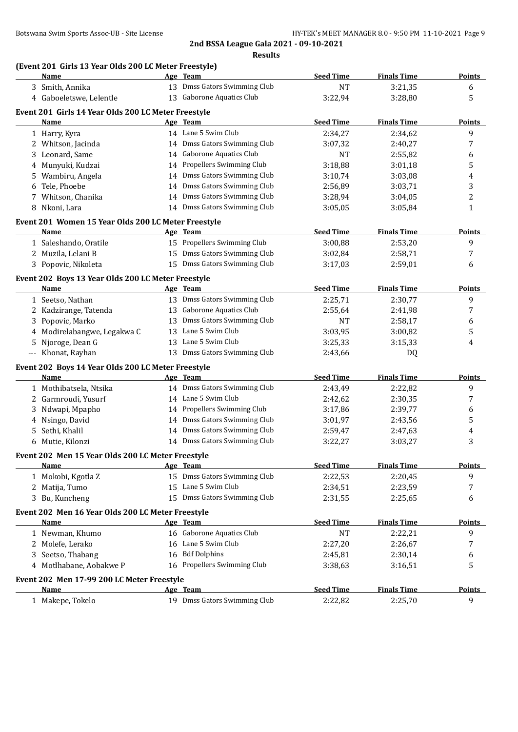|   |                                                       | 2nd BSSA League Gala 2021 - 09-10-2021 |                  |                    |                |
|---|-------------------------------------------------------|----------------------------------------|------------------|--------------------|----------------|
|   |                                                       | <b>Results</b>                         |                  |                    |                |
|   | (Event 201 Girls 13 Year Olds 200 LC Meter Freestyle) |                                        |                  |                    |                |
|   | <b>Name</b>                                           | Age Team                               | <b>Seed Time</b> | <b>Finals Time</b> | <u>Points</u>  |
|   | 3 Smith, Annika                                       | 13 Dmss Gators Swimming Club           | <b>NT</b>        | 3:21,35            | 6              |
|   | 4 Gaboeletswe, Lelentle                               | 13 Gaborone Aquatics Club              | 3:22,94          | 3:28,80            | 5              |
|   | Event 201 Girls 14 Year Olds 200 LC Meter Freestyle   |                                        |                  |                    |                |
|   | Name                                                  | Age Team                               | <b>Seed Time</b> | <b>Finals Time</b> | <b>Points</b>  |
|   | 1 Harry, Kyra                                         | 14 Lane 5 Swim Club                    | 2:34,27          | 2:34,62            | 9              |
|   | 2 Whitson, Jacinda                                    | 14 Dmss Gators Swimming Club           | 3:07,32          | 2:40,27            | 7              |
|   | 3 Leonard, Same                                       | 14 Gaborone Aquatics Club              | NT               | 2:55,82            | 6              |
| 4 | Munyuki, Kudzai                                       | 14 Propellers Swimming Club            | 3:18,88          | 3:01,18            | 5              |
| 5 | Wambiru, Angela                                       | 14 Dmss Gators Swimming Club           | 3:10,74          | 3:03,08            | 4              |
| 6 | Tele, Phoebe                                          | 14 Dmss Gators Swimming Club           | 2:56,89          | 3:03,71            | 3              |
|   | 7 Whitson, Chanika                                    | 14 Dmss Gators Swimming Club           | 3:28,94          | 3:04,05            | $\overline{c}$ |
|   | 8 Nkoni, Lara                                         | 14 Dmss Gators Swimming Club           | 3:05,05          | 3:05,84            | 1              |
|   | Event 201 Women 15 Year Olds 200 LC Meter Freestyle   |                                        |                  |                    |                |
|   | Name                                                  | Age Team                               | <b>Seed Time</b> | <b>Finals Time</b> | <u>Points</u>  |
|   | 1 Saleshando, Oratile                                 | 15 Propellers Swimming Club            | 3:00,88          | 2:53,20            | 9              |
|   | 2 Muzila, Lelani B                                    | 15 Dmss Gators Swimming Club           | 3:02,84          | 2:58,71            | 7              |
|   | 3 Popovic, Nikoleta                                   | 15 Dmss Gators Swimming Club           | 3:17,03          | 2:59,01            | 6              |
|   |                                                       |                                        |                  |                    |                |
|   | Event 202 Boys 13 Year Olds 200 LC Meter Freestyle    |                                        |                  |                    |                |
|   | Name                                                  | Age Team                               | <b>Seed Time</b> | <b>Finals Time</b> | <b>Points</b>  |
|   | 1 Seetso, Nathan                                      | 13 Dmss Gators Swimming Club           | 2:25,71          | 2:30,77            | 9              |
|   | 2 Kadzirange, Tatenda                                 | 13 Gaborone Aquatics Club              | 2:55,64          | 2:41,98            | 7              |
| 3 | Popovic, Marko                                        | 13 Dmss Gators Swimming Club           | NT               | 2:58,17            | 6              |
| 4 | Modirelabangwe, Legakwa C                             | 13 Lane 5 Swim Club                    | 3:03,95          | 3:00,82            | 5              |
| 5 | Njoroge, Dean G                                       | 13 Lane 5 Swim Club                    | 3:25,33          | 3:15,33            | 4              |
|   | --- Khonat, Rayhan                                    | 13 Dmss Gators Swimming Club           | 2:43,66          | DQ                 |                |
|   | Event 202 Boys 14 Year Olds 200 LC Meter Freestyle    |                                        |                  |                    |                |
|   | Name                                                  | Age Team                               | <b>Seed Time</b> | <b>Finals Time</b> | <b>Points</b>  |
|   | 1 Mothibatsela, Ntsika                                | 14 Dmss Gators Swimming Club           | 2:43,49          | 2:22,82            | 9              |
|   | 2 Garmroudi, Yusurf                                   | 14 Lane 5 Swim Club                    | 2:42,62          | 2:30,35            | 7              |
|   | Ndwapi, Mpapho                                        | 14 Propellers Swimming Club            | 3:17,86          | 2:39,77            | 6              |
|   | 4 Nsingo, David                                       | 14 Dmss Gators Swimming Club           | 3:01,97          | 2:43,56            | 5              |
|   | 5 Sethi, Khalil                                       | 14 Dmss Gators Swimming Club           | 2:59,47          | 2:47,63            | 4              |
|   | 6 Mutie, Kilonzi                                      | 14 Dmss Gators Swimming Club           | 3:22,27          | 3:03,27            | 3              |
|   | Event 202 Men 15 Year Olds 200 LC Meter Freestyle     |                                        |                  |                    |                |
|   | Name                                                  | Age Team                               | <b>Seed Time</b> | <b>Finals Time</b> | <b>Points</b>  |
|   | 1 Mokobi, Kgotla Z                                    | 15 Dmss Gators Swimming Club           | 2:22,53          | 2:20,45            | 9              |
|   | 2 Matija, Tumo                                        | 15 Lane 5 Swim Club                    | 2:34,51          | 2:23,59            | 7              |
|   | 3 Bu, Kuncheng                                        | 15 Dmss Gators Swimming Club           | 2:31,55          | 2:25,65            | 6              |
|   |                                                       |                                        |                  |                    |                |
|   | Event 202 Men 16 Year Olds 200 LC Meter Freestyle     |                                        |                  |                    |                |
|   | Name                                                  | Age Team                               | <b>Seed Time</b> | <b>Finals Time</b> | <b>Points</b>  |
|   | 1 Newman, Khumo                                       | 16 Gaborone Aquatics Club              | <b>NT</b>        | 2:22,21            | 9              |
|   | 2 Molefe, Lerako                                      | 16 Lane 5 Swim Club                    | 2:27,20          | 2:26,67            | 7              |
|   | Seetso, Thabang                                       | 16 Bdf Dolphins                        | 2:45,81          | 2:30,14            | 6              |
|   | 4 Motlhabane, Aobakwe P                               | 16 Propellers Swimming Club            | 3:38,63          | 3:16,51            | 5              |
|   | Event 202 Men 17-99 200 LC Meter Freestyle            |                                        |                  |                    |                |
|   | Name                                                  | Age Team                               | <b>Seed Time</b> | <b>Finals Time</b> | Points         |
|   | 1 Makepe, Tokelo                                      | 19 Dmss Gators Swimming Club           | 2:22,82          | 2:25,70            | 9              |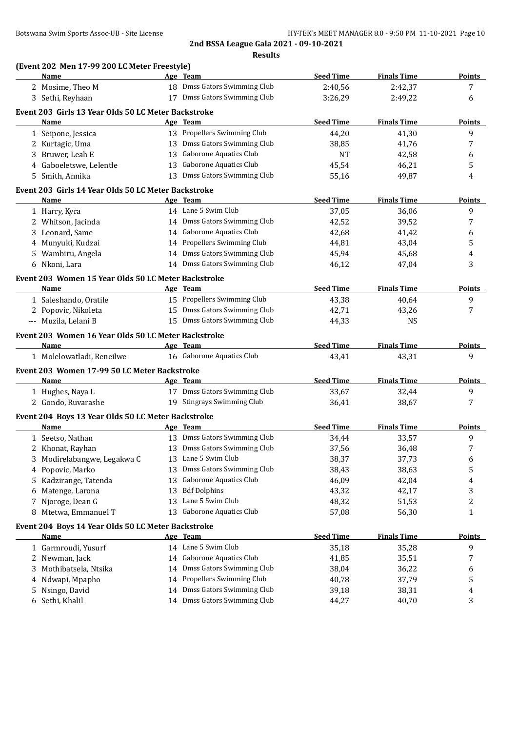|   | (Event 202 Men 17-99 200 LC Meter Freestyle)<br>Name |    | Age Team                      | <b>Seed Time</b> | <b>Finals Time</b> | <b>Points</b>      |
|---|------------------------------------------------------|----|-------------------------------|------------------|--------------------|--------------------|
|   | 2 Mosime, Theo M                                     |    | 18 Dmss Gators Swimming Club  | 2:40,56          | 2:42,37            | 7                  |
|   | 3 Sethi, Reyhaan                                     |    | 17 Dmss Gators Swimming Club  | 3:26,29          | 2:49,22            | 6                  |
|   | Event 203 Girls 13 Year Olds 50 LC Meter Backstroke  |    |                               |                  |                    |                    |
|   | Name                                                 |    | <u>Age Team</u>               | <b>Seed Time</b> | <b>Finals Time</b> | <b>Points</b>      |
|   |                                                      |    | 13 Propellers Swimming Club   | 44,20            | 41,30              | 9                  |
|   | 1 Seipone, Jessica                                   |    | 13 Dmss Gators Swimming Club  |                  |                    |                    |
|   | 2 Kurtagic, Uma                                      |    | 13 Gaborone Aquatics Club     | 38,85            | 41,76              | 7                  |
|   | 3 Bruwer, Leah E                                     |    | 13 Gaborone Aquatics Club     | <b>NT</b>        | 42,58              | 6                  |
| 4 | Gaboeletswe, Lelentle                                |    | 13 Dmss Gators Swimming Club  | 45,54            | 46,21              | 5                  |
|   | 5 Smith, Annika                                      |    |                               | 55,16            | 49,87              | 4                  |
|   | Event 203 Girls 14 Year Olds 50 LC Meter Backstroke  |    |                               |                  |                    |                    |
|   | Name                                                 |    | Age Team                      | <b>Seed Time</b> | <b>Finals Time</b> | Points             |
|   | 1 Harry, Kyra                                        |    | 14 Lane 5 Swim Club           | 37,05            | 36,06              | 9                  |
|   | 2 Whitson, Jacinda                                   |    | 14 Dmss Gators Swimming Club  | 42,52            | 39,52              | 7                  |
|   | 3 Leonard, Same                                      |    | 14 Gaborone Aquatics Club     | 42,68            | 41,42              | 6                  |
| 4 | Munyuki, Kudzai                                      |    | 14 Propellers Swimming Club   | 44,81            | 43,04              | 5                  |
| 5 | Wambiru, Angela                                      | 14 | Dmss Gators Swimming Club     | 45,94            | 45,68              | 4                  |
|   | 6 Nkoni, Lara                                        |    | 14 Dmss Gators Swimming Club  | 46,12            | 47,04              | 3                  |
|   | Event 203 Women 15 Year Olds 50 LC Meter Backstroke  |    |                               |                  |                    |                    |
|   | Name                                                 |    | Age Team                      | <b>Seed Time</b> | <b>Finals Time</b> | <b>Points</b>      |
|   | 1 Saleshando, Oratile                                |    | 15 Propellers Swimming Club   | 43,38            | 40,64              | 9                  |
|   | 2 Popovic, Nikoleta                                  |    | 15 Dmss Gators Swimming Club  | 42,71            | 43,26              | 7                  |
|   | --- Muzila, Lelani B                                 |    | 15 Dmss Gators Swimming Club  | 44,33            | <b>NS</b>          |                    |
|   |                                                      |    |                               |                  |                    |                    |
|   | Event 203 Women 16 Year Olds 50 LC Meter Backstroke  |    |                               |                  |                    |                    |
|   | <b>Name</b>                                          |    | Age Team                      | <b>Seed Time</b> | <b>Finals Time</b> | Points             |
|   | 1 Molelowatladi, Reneilwe                            |    | 16 Gaborone Aquatics Club     | 43,41            | 43,31              | 9                  |
|   | Event 203 Women 17-99 50 LC Meter Backstroke         |    |                               |                  |                    |                    |
|   | Name                                                 |    | Age Team                      | <b>Seed Time</b> | <b>Finals Time</b> | <b>Points</b>      |
|   | 1 Hughes, Naya L                                     |    | 17 Dmss Gators Swimming Club  | 33,67            | 32,44              | 9                  |
|   | 2 Gondo, Ruvarashe                                   |    | 19 Stingrays Swimming Club    | 36,41            | 38,67              | 7                  |
|   | Event 204 Boys 13 Year Olds 50 LC Meter Backstroke   |    |                               |                  |                    |                    |
|   | Name                                                 |    | Age Team                      | <b>Seed Time</b> | <b>Finals Time</b> | <b>Points</b>      |
|   | 1 Seetso, Nathan                                     |    |                               |                  |                    |                    |
|   |                                                      |    |                               |                  |                    |                    |
|   |                                                      |    | 13 Dmss Gators Swimming Club  | 34,44            | 33,57              | 9                  |
|   | 2 Khonat, Rayhan                                     |    | 13 Dmss Gators Swimming Club  | 37,56            | 36,48              | 7                  |
|   | Modirelabangwe, Legakwa C                            | 13 | Lane 5 Swim Club              | 38,37            | 37,73              | 6                  |
| 4 | Popovic, Marko                                       | 13 | Dmss Gators Swimming Club     | 38,43            | 38,63              | 5                  |
| 5 | Kadzirange, Tatenda                                  | 13 | Gaborone Aquatics Club        | 46,09            | 42,04              | 4                  |
| 6 | Matenge, Larona                                      | 13 | <b>Bdf Dolphins</b>           | 43,32            | 42,17              | 3                  |
| 7 | Njoroge, Dean G                                      | 13 | Lane 5 Swim Club              | 48,32            | 51,53              | 2                  |
| 8 | Mtetwa, Emmanuel T                                   | 13 | <b>Gaborone Aquatics Club</b> | 57,08            | 56,30              | 1                  |
|   | Event 204 Boys 14 Year Olds 50 LC Meter Backstroke   |    |                               |                  |                    |                    |
|   | <u>Name</u>                                          |    | Age Team                      | <b>Seed Time</b> | <b>Finals Time</b> |                    |
|   | 1 Garmroudi, Yusurf                                  |    | 14 Lane 5 Swim Club           | 35,18            | 35,28              | 9                  |
| 2 | Newman, Jack                                         |    | 14 Gaborone Aquatics Club     | 41,85            | 35,51              | 7                  |
| 3 | Mothibatsela, Ntsika                                 | 14 | Dmss Gators Swimming Club     | 38,04            | 36,22              | 6                  |
| 4 | Ndwapi, Mpapho                                       | 14 | Propellers Swimming Club      | 40,78            | 37,79              | 5                  |
| 5 | Nsingo, David                                        | 14 | Dmss Gators Swimming Club     | 39,18            | 38,31              | <b>Points</b><br>4 |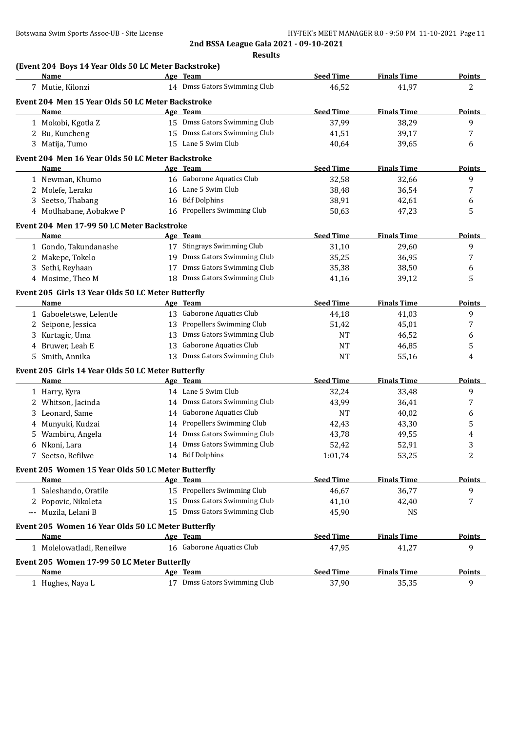|   | <b>Name</b>                                                |    | Age Team                                                    | <b>Seed Time</b> | <b>Finals Time</b> | <b>Points</b> |
|---|------------------------------------------------------------|----|-------------------------------------------------------------|------------------|--------------------|---------------|
|   | 7 Mutie, Kilonzi                                           |    | 14 Dmss Gators Swimming Club                                | 46,52            | 41,97              | 2             |
|   | Event 204 Men 15 Year Olds 50 LC Meter Backstroke          |    |                                                             |                  |                    |               |
|   | Name                                                       |    | Age Team                                                    | <b>Seed Time</b> | <b>Finals Time</b> | Points        |
|   | 1 Mokobi, Kgotla Z                                         |    | 15 Dmss Gators Swimming Club                                | 37,99            | 38,29              | 9             |
|   | 2 Bu, Kuncheng                                             |    | 15 Dmss Gators Swimming Club                                | 41,51            | 39,17              | 7             |
|   | 3 Matija, Tumo                                             |    | 15 Lane 5 Swim Club                                         | 40,64            | 39,65              | 6             |
|   | Event 204 Men 16 Year Olds 50 LC Meter Backstroke          |    |                                                             |                  |                    |               |
|   | Name                                                       |    | Age Team                                                    | <b>Seed Time</b> | <b>Finals Time</b> | <b>Points</b> |
|   | 1 Newman, Khumo                                            |    | 16 Gaborone Aquatics Club                                   | 32,58            | 32,66              | 9             |
|   | 2 Molefe, Lerako                                           |    | 16 Lane 5 Swim Club                                         | 38,48            | 36,54              | 7             |
|   | 3 Seetso, Thabang                                          |    | 16 Bdf Dolphins                                             | 38,91            | 42,61              | 6             |
|   | 4 Motlhabane, Aobakwe P                                    |    | 16 Propellers Swimming Club                                 | 50,63            | 47,23              | 5             |
|   | Event 204 Men 17-99 50 LC Meter Backstroke                 |    |                                                             |                  |                    |               |
|   | Name                                                       |    | Age Team                                                    | <b>Seed Time</b> | <b>Finals Time</b> | <b>Points</b> |
|   | 1 Gondo, Takundanashe                                      |    | 17 Stingrays Swimming Club                                  | 31,10            | 29,60              | 9             |
|   | 2 Makepe, Tokelo                                           |    | 19 Dmss Gators Swimming Club                                | 35,25            | 36,95              | 7             |
| 3 | Sethi, Reyhaan                                             | 17 | Dmss Gators Swimming Club                                   | 35,38            | 38,50              | 6             |
|   | 4 Mosime, Theo M                                           |    | 18 Dmss Gators Swimming Club                                | 41,16            | 39,12              | 5             |
|   |                                                            |    |                                                             |                  |                    |               |
|   | Event 205 Girls 13 Year Olds 50 LC Meter Butterfly<br>Name |    | Age Team                                                    | <b>Seed Time</b> | <b>Finals Time</b> | <b>Points</b> |
|   | 1 Gaboeletswe, Lelentle                                    |    | 13 Gaborone Aquatics Club                                   | 44,18            | 41,03              | 9             |
| 2 | Seipone, Jessica                                           |    | 13 Propellers Swimming Club                                 | 51,42            | 45,01              | 7             |
| 3 | Kurtagic, Uma                                              |    | 13 Dmss Gators Swimming Club                                | <b>NT</b>        | 46,52              | 6             |
| 4 | Bruwer, Leah E                                             | 13 | Gaborone Aquatics Club                                      | <b>NT</b>        | 46,85              | 5             |
| 5 | Smith, Annika                                              | 13 | Dmss Gators Swimming Club                                   | <b>NT</b>        | 55,16              | 4             |
|   |                                                            |    |                                                             |                  |                    |               |
|   | Event 205 Girls 14 Year Olds 50 LC Meter Butterfly         |    | Age Team                                                    |                  |                    |               |
|   | Name                                                       |    | 14 Lane 5 Swim Club                                         | <b>Seed Time</b> | <b>Finals Time</b> | <b>Points</b> |
|   | 1 Harry, Kyra                                              |    | 14 Dmss Gators Swimming Club                                | 32,24            | 33,48              | 9             |
|   | 2 Whitson, Jacinda                                         |    | 14 Gaborone Aquatics Club                                   | 43,99            | 36,41              | 7             |
| 3 | Leonard, Same                                              |    |                                                             | <b>NT</b>        | 40,02              | 6             |
| 4 | Munyuki, Kudzai                                            |    | 14 Propellers Swimming Club<br>14 Dmss Gators Swimming Club | 42,43            | 43,30              | 5             |
| 5 | Wambiru, Angela                                            |    |                                                             | 43,78            | 49,55              | 4             |
| 6 | Nkoni, Lara                                                |    | 14 Dmss Gators Swimming Club<br>14 Bdf Dolphins             | 52,42            | 52,91              | 3             |
|   | 7 Seetso, Refilwe                                          |    |                                                             | 1:01,74          | 53,25              | 2             |
|   | Event 205 Women 15 Year Olds 50 LC Meter Butterfly         |    |                                                             |                  |                    |               |
|   | <b>Name</b>                                                |    | Age Team                                                    | <b>Seed Time</b> | <b>Finals Time</b> | Points        |
|   | 1 Saleshando, Oratile                                      |    | 15 Propellers Swimming Club                                 | 46,67            | 36,77              | 9             |
|   | 2 Popovic, Nikoleta                                        | 15 | Dmss Gators Swimming Club                                   | 41,10            | 42,40              | 7             |
|   | --- Muzila, Lelani B                                       |    | 15 Dmss Gators Swimming Club                                | 45,90            | <b>NS</b>          |               |
|   | Event 205 Women 16 Year Olds 50 LC Meter Butterfly         |    |                                                             |                  |                    |               |
|   | Name                                                       |    | Age Team                                                    | <b>Seed Time</b> | <b>Finals Time</b> | <b>Points</b> |
|   | 1 Molelowatladi, Reneilwe                                  |    | 16 Gaborone Aquatics Club                                   | 47,95            | 41,27              | 9             |
|   | Event 205 Women 17-99 50 LC Meter Butterfly                |    |                                                             |                  |                    |               |
|   | Name                                                       |    | Age Team                                                    | <b>Seed Time</b> | <b>Finals Time</b> | <b>Points</b> |
|   | 1 Hughes, Naya L                                           |    | 17 Dmss Gators Swimming Club                                | 37,90            | 35,35              | 9             |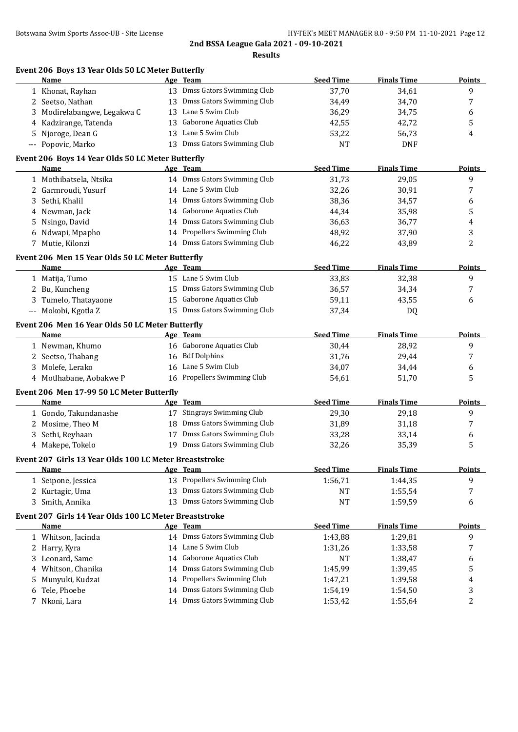|   | Event 206 Boys 13 Year Olds 50 LC Meter Butterfly<br>Name |    | Age Team                                 | <b>Seed Time</b> | <b>Finals Time</b> | Points        |
|---|-----------------------------------------------------------|----|------------------------------------------|------------------|--------------------|---------------|
|   | 1 Khonat, Rayhan                                          |    | 13 Dmss Gators Swimming Club             | 37,70            | 34,61              | 9             |
| 2 | Seetso, Nathan                                            | 13 | Dmss Gators Swimming Club                | 34,49            | 34,70              | 7             |
| 3 | Modirelabangwe, Legakwa C                                 | 13 | Lane 5 Swim Club                         | 36,29            | 34,75              | 6             |
| 4 | Kadzirange, Tatenda                                       | 13 | <b>Gaborone Aquatics Club</b>            | 42,55            | 42,72              | 5             |
| 5 | Njoroge, Dean G                                           | 13 | Lane 5 Swim Club                         | 53,22            | 56,73              | 4             |
|   | --- Popovic, Marko                                        |    | 13 Dmss Gators Swimming Club             | <b>NT</b>        | <b>DNF</b>         |               |
|   | Event 206 Boys 14 Year Olds 50 LC Meter Butterfly         |    |                                          |                  | <b>Finals Time</b> |               |
|   | Name                                                      |    | Age Team<br>14 Dmss Gators Swimming Club | <b>Seed Time</b> |                    | <b>Points</b> |
|   | 1 Mothibatsela, Ntsika                                    |    | 14 Lane 5 Swim Club                      | 31,73            | 29,05              | 9             |
| 2 | Garmroudi, Yusurf                                         |    |                                          | 32,26            | 30,91              | 7             |
| 3 | Sethi, Khalil                                             |    | 14 Dmss Gators Swimming Club             | 38,36            | 34,57              | 6             |
| 4 | Newman, Jack                                              |    | 14 Gaborone Aquatics Club                | 44,34            | 35,98              | 5             |
| 5 | Nsingo, David                                             |    | 14 Dmss Gators Swimming Club             | 36,63            | 36,77              | 4             |
| 6 | Ndwapi, Mpapho                                            |    | 14 Propellers Swimming Club              | 48,92            | 37,90              | 3             |
| 7 | Mutie, Kilonzi                                            |    | 14 Dmss Gators Swimming Club             | 46,22            | 43,89              | 2             |
|   | Event 206 Men 15 Year Olds 50 LC Meter Butterfly          |    |                                          |                  |                    |               |
|   | Name                                                      |    | Age Team                                 | <b>Seed Time</b> | <b>Finals Time</b> | Points        |
|   | 1 Matija, Tumo                                            |    | 15 Lane 5 Swim Club                      | 33,83            | 32,38              | 9             |
|   | 2 Bu, Kuncheng                                            |    | 15 Dmss Gators Swimming Club             | 36,57            | 34,34              | 7             |
| 3 | Tumelo, Thatayaone                                        | 15 | Gaborone Aquatics Club                   | 59,11            | 43,55              | 6             |
|   | --- Mokobi, Kgotla Z                                      |    | 15 Dmss Gators Swimming Club             | 37,34            | DQ                 |               |
|   | Event 206 Men 16 Year Olds 50 LC Meter Butterfly          |    |                                          |                  |                    |               |
|   | Name                                                      |    | Age Team                                 | <b>Seed Time</b> | <b>Finals Time</b> | <b>Points</b> |
|   | 1 Newman, Khumo                                           |    | 16 Gaborone Aquatics Club                | 30,44            | 28,92              | 9             |
|   | 2 Seetso, Thabang                                         |    | 16 Bdf Dolphins                          | 31,76            | 29,44              | 7             |
| 3 | Molefe, Lerako                                            | 16 | Lane 5 Swim Club                         | 34,07            | 34,44              | 6             |
|   | 4 Motlhabane, Aobakwe P                                   |    | 16 Propellers Swimming Club              | 54,61            | 51,70              | 5             |
|   | Event 206 Men 17-99 50 LC Meter Butterfly                 |    |                                          |                  |                    |               |
|   | <b>Name</b>                                               |    | Age Team                                 | <b>Seed Time</b> | <b>Finals Time</b> | Points        |
|   | 1 Gondo, Takundanashe                                     |    | 17 Stingrays Swimming Club               | 29,30            | 29,18              | 9             |
|   | 2 Mosime, Theo M                                          | 18 | Dmss Gators Swimming Club                | 31,89            | 31,18              | 7             |
| 3 | Sethi, Reyhaan                                            | 17 | Dmss Gators Swimming Club                | 33,28            | 33,14              | 6             |
|   | 4 Makepe, Tokelo                                          | 19 | Dmss Gators Swimming Club                | 32,26            | 35,39              | 5             |
|   | Event 207 Girls 13 Year Olds 100 LC Meter Breaststroke    |    |                                          |                  |                    |               |
|   | Name                                                      |    | Age Team                                 | <b>Seed Time</b> | <b>Finals Time</b> | <b>Points</b> |
|   | 1 Seipone, Jessica                                        |    | 13 Propellers Swimming Club              | 1:56,71          | 1:44,35            | 9             |
|   | 2 Kurtagic, Uma                                           | 13 | Dmss Gators Swimming Club                | NT               | 1:55,54            | 7             |
|   | 3 Smith, Annika                                           | 13 | Dmss Gators Swimming Club                | <b>NT</b>        | 1:59,59            | 6             |
|   | Event 207 Girls 14 Year Olds 100 LC Meter Breaststroke    |    |                                          |                  |                    |               |
|   | Name                                                      |    | Age Team                                 | <b>Seed Time</b> | <b>Finals Time</b> | <b>Points</b> |
|   | 1 Whitson, Jacinda                                        |    | 14 Dmss Gators Swimming Club             | 1:43,88          | 1:29,81            | 9             |
|   | 2 Harry, Kyra                                             |    | 14 Lane 5 Swim Club                      | 1:31,26          | 1:33,58            | 7             |
|   |                                                           |    | Gaborone Aquatics Club                   | NT               | 1:38,47            | 6             |
| 3 | Leonard, Same                                             | 14 |                                          |                  |                    |               |
| 4 | Whitson, Chanika                                          | 14 | Dmss Gators Swimming Club                | 1:45,99          | 1:39,45            | 5             |
| 5 | Munyuki, Kudzai                                           | 14 | Propellers Swimming Club                 | 1:47,21          | 1:39,58            | 4             |
| 6 | Tele, Phoebe                                              | 14 | Dmss Gators Swimming Club                | 1:54,19          | 1:54,50            | 3             |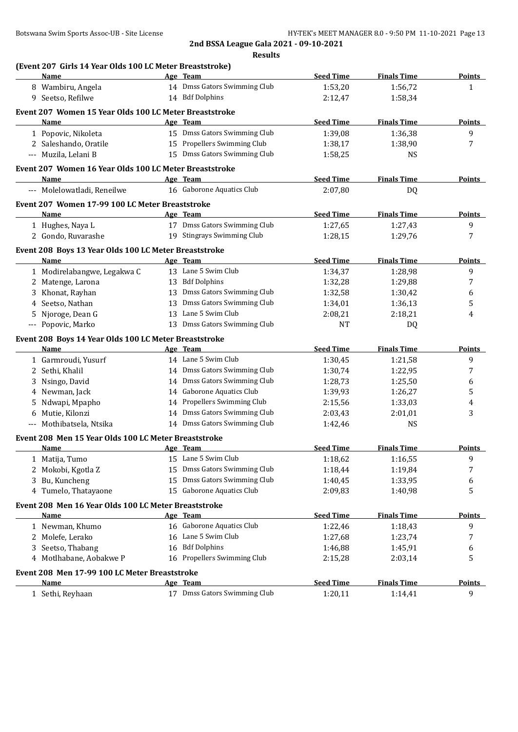|   | (Event 207 Girls 14 Year Olds 100 LC Meter Breaststroke)<br>Name      |    | Age Team                                                    | <b>Seed Time</b>            | <b>Finals Time</b>            | <b>Points</b>      |
|---|-----------------------------------------------------------------------|----|-------------------------------------------------------------|-----------------------------|-------------------------------|--------------------|
|   | 8 Wambiru, Angela                                                     |    | 14 Dmss Gators Swimming Club                                | 1:53,20                     | 1:56,72                       | 1                  |
|   | 9 Seetso, Refilwe                                                     |    | 14 Bdf Dolphins                                             | 2:12,47                     | 1:58,34                       |                    |
|   |                                                                       |    |                                                             |                             |                               |                    |
|   | Event 207 Women 15 Year Olds 100 LC Meter Breaststroke<br><b>Name</b> |    | Age Team                                                    | <b>Seed Time</b>            | <b>Finals Time</b>            | <b>Points</b>      |
|   |                                                                       |    | 15 Dmss Gators Swimming Club                                | 1:39,08                     | 1:36,38                       | 9                  |
|   | 1 Popovic, Nikoleta                                                   |    | 15 Propellers Swimming Club                                 |                             |                               | 7                  |
|   | 2 Saleshando, Oratile                                                 |    | 15 Dmss Gators Swimming Club                                | 1:38,17                     | 1:38,90                       |                    |
|   | --- Muzila, Lelani B                                                  |    |                                                             | 1:58,25                     | <b>NS</b>                     |                    |
|   | Event 207 Women 16 Year Olds 100 LC Meter Breaststroke                |    |                                                             |                             |                               |                    |
|   | Name                                                                  |    | Age Team                                                    | <b>Seed Time</b>            | <b>Finals Time</b>            | Points             |
|   | --- Molelowatladi, Reneilwe                                           |    | 16 Gaborone Aquatics Club                                   | 2:07,80                     | <b>DQ</b>                     |                    |
|   | Event 207 Women 17-99 100 LC Meter Breaststroke                       |    |                                                             |                             |                               |                    |
|   | Name                                                                  |    | Age Team                                                    | <b>Seed Time</b>            | <b>Finals Time</b>            | <b>Points</b>      |
|   | 1 Hughes, Naya L                                                      |    | 17 Dmss Gators Swimming Club                                | 1:27,65                     | 1:27,43                       | 9                  |
|   | 2 Gondo, Ruvarashe                                                    |    | 19 Stingrays Swimming Club                                  | 1:28,15                     | 1:29,76                       | 7                  |
|   | Event 208 Boys 13 Year Olds 100 LC Meter Breaststroke                 |    |                                                             |                             |                               |                    |
|   | Name                                                                  |    | Age Team                                                    | <b>Seed Time</b>            | <b>Finals Time</b>            | Points             |
|   | 1 Modirelabangwe, Legakwa C                                           |    | 13 Lane 5 Swim Club                                         | 1:34,37                     | 1:28,98                       | 9                  |
| 2 | Matenge, Larona                                                       |    | 13 Bdf Dolphins                                             | 1:32,28                     | 1:29,88                       | 7                  |
|   | Khonat, Rayhan                                                        |    | 13 Dmss Gators Swimming Club                                | 1:32,58                     | 1:30,42                       | 6                  |
| 4 | Seetso, Nathan                                                        | 13 | Dmss Gators Swimming Club                                   | 1:34,01                     | 1:36,13                       | 5                  |
| 5 | Njoroge, Dean G                                                       | 13 | Lane 5 Swim Club                                            | 2:08,21                     | 2:18,21                       | 4                  |
|   | --- Popovic, Marko                                                    |    | 13 Dmss Gators Swimming Club                                | NT                          | DQ                            |                    |
|   |                                                                       |    |                                                             |                             |                               |                    |
|   | Event 208 Boys 14 Year Olds 100 LC Meter Breaststroke                 |    |                                                             |                             |                               |                    |
|   | Name                                                                  |    | Age Team<br>14 Lane 5 Swim Club                             | <b>Seed Time</b>            | <b>Finals Time</b>            | <b>Points</b>      |
|   | 1 Garmroudi, Yusurf                                                   |    | 14 Dmss Gators Swimming Club                                | 1:30,45                     | 1:21,58                       | 9                  |
|   | 2 Sethi, Khalil                                                       |    | 14 Dmss Gators Swimming Club                                | 1:30,74                     | 1:22,95                       | 7                  |
| 3 | Nsingo, David                                                         |    |                                                             | 1:28,73                     | 1:25,50                       | 6                  |
| 4 | Newman, Jack                                                          |    | 14 Gaborone Aquatics Club                                   | 1:39,93                     | 1:26,27                       | 5                  |
| 5 | Ndwapi, Mpapho                                                        |    | 14 Propellers Swimming Club<br>14 Dmss Gators Swimming Club | 2:15,56                     | 1:33,03                       | 4                  |
| 6 | Mutie, Kilonzi                                                        |    | 14 Dmss Gators Swimming Club                                | 2:03,43                     | 2:01,01                       | 3                  |
|   | --- Mothibatsela, Ntsika                                              |    |                                                             | 1:42,46                     | <b>NS</b>                     |                    |
|   | Event 208 Men 15 Year Olds 100 LC Meter Breaststroke                  |    |                                                             |                             |                               |                    |
|   | Name                                                                  |    | Age Team                                                    | <b>Seed Time</b>            | <b>Finals Time</b>            | <b>Points</b>      |
|   | 1 Matija, Tumo                                                        |    | 15 Lane 5 Swim Club                                         | 1:18,62                     | 1:16,55                       | 9                  |
| 2 | Mokobi, Kgotla Z                                                      | 15 | Dmss Gators Swimming Club                                   | 1:18,44                     | 1:19,84                       | 7                  |
| 3 | Bu, Kuncheng                                                          | 15 | Dmss Gators Swimming Club                                   | 1:40,45                     | 1:33,95                       | 6                  |
|   | 4 Tumelo, Thatayaone                                                  | 15 | Gaborone Aquatics Club                                      | 2:09,83                     | 1:40,98                       | 5                  |
|   | Event 208 Men 16 Year Olds 100 LC Meter Breaststroke                  |    |                                                             |                             |                               |                    |
|   | <b>Name</b>                                                           |    | Age Team                                                    | <b>Seed Time</b>            | <b>Finals Time</b>            | <b>Points</b>      |
|   | 1 Newman, Khumo                                                       |    | 16 Gaborone Aquatics Club                                   | 1:22,46                     | 1:18,43                       | 9                  |
|   | 2 Molefe, Lerako                                                      |    | 16 Lane 5 Swim Club                                         | 1:27,68                     | 1:23,74                       | 7                  |
| 3 | Seetso, Thabang                                                       |    | 16 Bdf Dolphins                                             | 1:46,88                     | 1:45,91                       | 6                  |
|   | 4 Motlhabane, Aobakwe P                                               |    | 16 Propellers Swimming Club                                 | 2:15,28                     | 2:03,14                       | 5                  |
|   |                                                                       |    |                                                             |                             |                               |                    |
|   | Event 208 Men 17-99 100 LC Meter Breaststroke                         |    |                                                             |                             |                               |                    |
|   |                                                                       |    |                                                             |                             |                               |                    |
|   | Name<br>1 Sethi, Reyhaan                                              |    | Age Team<br>17 Dmss Gators Swimming Club                    | <b>Seed Time</b><br>1:20,11 | <b>Finals Time</b><br>1:14,41 | <b>Points</b><br>9 |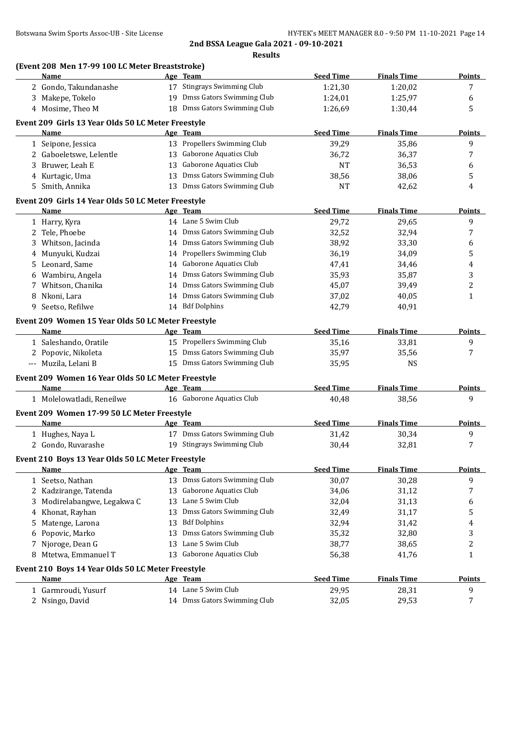#### **(Event 208 Men 17-99 100 LC Meter Breaststroke)**

| Name                                               |    | Age Team                      | <b>Seed Time</b> | <b>Finals Time</b> | <b>Points</b> |
|----------------------------------------------------|----|-------------------------------|------------------|--------------------|---------------|
| 2 Gondo, Takundanashe                              |    | 17 Stingrays Swimming Club    | 1:21,30          | 1:20,02            | 7             |
| 3 Makepe, Tokelo                                   |    | 19 Dmss Gators Swimming Club  | 1:24,01          | 1:25,97            | 6             |
| 4 Mosime, Theo M                                   |    | 18 Dmss Gators Swimming Club  | 1:26,69          | 1:30,44            | 5             |
| Event 209 Girls 13 Year Olds 50 LC Meter Freestyle |    |                               |                  |                    |               |
| Name                                               |    | Age Team                      | <b>Seed Time</b> | <b>Finals Time</b> | <b>Points</b> |
| 1 Seipone, Jessica                                 |    | 13 Propellers Swimming Club   | 39,29            | 35,86              | 9             |
| 2 Gaboeletswe, Lelentle                            |    | 13 Gaborone Aquatics Club     | 36,72            | 36,37              | 7             |
| Bruwer, Leah E<br>3.                               | 13 | <b>Gaborone Aquatics Club</b> | <b>NT</b>        | 36,53              | 6             |
| 4 Kurtagic, Uma                                    | 13 | Dmss Gators Swimming Club     | 38,56            | 38,06              | 5             |
| Smith, Annika<br>5.                                | 13 | Dmss Gators Swimming Club     | NT               | 42,62              | 4             |
|                                                    |    |                               |                  |                    |               |
| Event 209 Girls 14 Year Olds 50 LC Meter Freestyle |    |                               |                  |                    |               |
| Name                                               |    | Age Team                      | <b>Seed Time</b> | <b>Finals Time</b> | <b>Points</b> |
| 1 Harry, Kyra                                      |    | 14 Lane 5 Swim Club           | 29,72            | 29,65              | 9             |
| 2 Tele, Phoebe                                     |    | 14 Dmss Gators Swimming Club  | 32,52            | 32,94              | 7             |
| Whitson, Jacinda                                   |    | 14 Dmss Gators Swimming Club  | 38,92            | 33,30              | 6             |
| 4 Munyuki, Kudzai                                  |    | 14 Propellers Swimming Club   | 36,19            | 34,09              | 5             |
| Leonard, Same<br>5.                                |    | 14 Gaborone Aquatics Club     | 47,41            | 34,46              | 4             |
| Wambiru, Angela                                    |    | 14 Dmss Gators Swimming Club  | 35,93            | 35,87              | 3             |
| 7 Whitson, Chanika                                 |    | 14 Dmss Gators Swimming Club  | 45,07            | 39,49              | 2             |
| 8 Nkoni, Lara                                      |    | 14 Dmss Gators Swimming Club  | 37,02            | 40,05              | 1             |
| 9 Seetso, Refilwe                                  |    | 14 Bdf Dolphins               | 42,79            | 40,91              |               |
| Event 209 Women 15 Year Olds 50 LC Meter Freestyle |    |                               |                  |                    |               |
| <u>Name</u>                                        |    | Age Team                      | <b>Seed Time</b> | <b>Finals Time</b> | <b>Points</b> |
| 1 Saleshando, Oratile                              |    | 15 Propellers Swimming Club   | 35,16            | 33,81              | 9             |
| 2 Popovic, Nikoleta                                |    | 15 Dmss Gators Swimming Club  | 35,97            | 35,56              | 7             |
| --- Muzila, Lelani B                               |    | 15 Dmss Gators Swimming Club  | 35,95            | <b>NS</b>          |               |
| Event 209 Women 16 Year Olds 50 LC Meter Freestyle |    |                               |                  |                    |               |
| <b>Name</b>                                        |    | Age Team                      | <b>Seed Time</b> | <b>Finals Time</b> | <b>Points</b> |
| 1 Molelowatladi, Reneilwe                          |    | 16 Gaborone Aquatics Club     | 40,48            | 38,56              | 9             |
|                                                    |    |                               |                  |                    |               |
| Event 209 Women 17-99 50 LC Meter Freestyle        |    |                               |                  |                    |               |
| Name                                               |    | Age Team                      | <b>Seed Time</b> | <b>Finals Time</b> | <b>Points</b> |
| 1 Hughes, Naya L                                   |    | 17 Dmss Gators Swimming Club  | 31,42            | 30,34              | 9             |
| 2 Gondo, Ruvarashe                                 |    | 19 Stingrays Swimming Club    | 30,44            | 32,81              | 7             |
| Event 210 Boys 13 Year Olds 50 LC Meter Freestyle  |    |                               |                  |                    |               |
| Name                                               |    | Age Team                      | <b>Seed Time</b> | <b>Finals Time</b> | <b>Points</b> |
| 1 Seetso, Nathan                                   |    | 13 Dmss Gators Swimming Club  | 30,07            | 30,28              | 9             |
| Kadzirange, Tatenda<br>2                           | 13 | Gaborone Aquatics Club        | 34,06            | 31,12              | 7             |
| Modirelabangwe, Legakwa C<br>3                     | 13 | Lane 5 Swim Club              | 32,04            | 31,13              | 6             |
| Khonat, Rayhan<br>4                                | 13 | Dmss Gators Swimming Club     | 32,49            | 31,17              | 5             |
| Matenge, Larona<br>5                               | 13 | <b>Bdf Dolphins</b>           | 32,94            | 31,42              | 4             |
| Popovic, Marko<br>6                                | 13 | Dmss Gators Swimming Club     | 35,32            | 32,80              | 3             |
| Njoroge, Dean G<br>7                               | 13 | Lane 5 Swim Club              | 38,77            | 38,65              | 2             |
| Mtetwa, Emmanuel T<br>8                            |    | 13 Gaborone Aquatics Club     | 56,38            | 41,76              | $\mathbf{1}$  |
| Event 210 Boys 14 Year Olds 50 LC Meter Freestyle  |    |                               |                  |                    |               |
| Name                                               |    | Age Team                      | <b>Seed Time</b> | <b>Finals Time</b> | <b>Points</b> |
| 1 Garmroudi, Yusurf                                |    | 14 Lane 5 Swim Club           | 29,95            |                    | 9             |
|                                                    |    | 14 Dmss Gators Swimming Club  |                  | 28,31              |               |
| 2 Nsingo, David                                    |    |                               | 32,05            | 29,53              | 7             |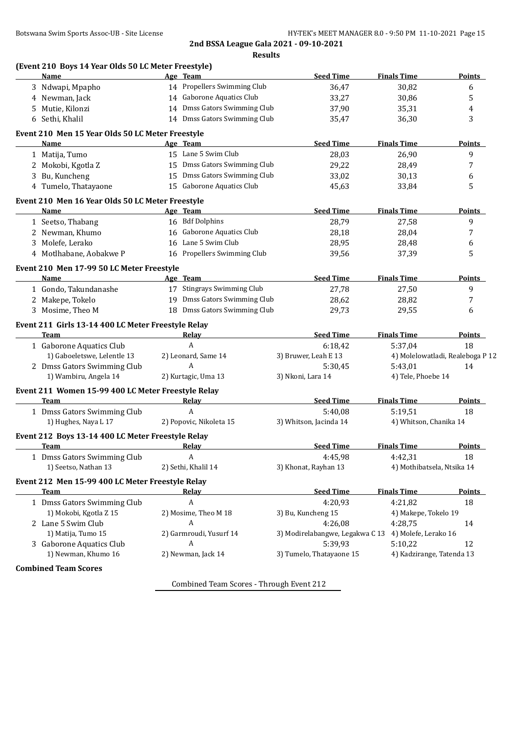| (Event 210 Boys 14 Year Olds 50 LC Meter Freestyle)<br>Name |                                                                                                                                                                                                                                                                                                                                                                                                                                                                                                    | Age Team                                  | <b>Seed Time</b>                                                                                                                                                                                                                                                                                                                                                                                                                                                                                                                                                                                                                                                                                                                                                                                           | <b>Finals Time</b>                                                                                                                                                                                                                                                                                                                                                                                                                                                                                                   | <b>Points</b>                                                                                                                                                                                                                                                                                                                                                                                 |
|-------------------------------------------------------------|----------------------------------------------------------------------------------------------------------------------------------------------------------------------------------------------------------------------------------------------------------------------------------------------------------------------------------------------------------------------------------------------------------------------------------------------------------------------------------------------------|-------------------------------------------|------------------------------------------------------------------------------------------------------------------------------------------------------------------------------------------------------------------------------------------------------------------------------------------------------------------------------------------------------------------------------------------------------------------------------------------------------------------------------------------------------------------------------------------------------------------------------------------------------------------------------------------------------------------------------------------------------------------------------------------------------------------------------------------------------------|----------------------------------------------------------------------------------------------------------------------------------------------------------------------------------------------------------------------------------------------------------------------------------------------------------------------------------------------------------------------------------------------------------------------------------------------------------------------------------------------------------------------|-----------------------------------------------------------------------------------------------------------------------------------------------------------------------------------------------------------------------------------------------------------------------------------------------------------------------------------------------------------------------------------------------|
|                                                             |                                                                                                                                                                                                                                                                                                                                                                                                                                                                                                    |                                           |                                                                                                                                                                                                                                                                                                                                                                                                                                                                                                                                                                                                                                                                                                                                                                                                            |                                                                                                                                                                                                                                                                                                                                                                                                                                                                                                                      | 6                                                                                                                                                                                                                                                                                                                                                                                             |
|                                                             |                                                                                                                                                                                                                                                                                                                                                                                                                                                                                                    |                                           |                                                                                                                                                                                                                                                                                                                                                                                                                                                                                                                                                                                                                                                                                                                                                                                                            |                                                                                                                                                                                                                                                                                                                                                                                                                                                                                                                      | 5                                                                                                                                                                                                                                                                                                                                                                                             |
|                                                             |                                                                                                                                                                                                                                                                                                                                                                                                                                                                                                    |                                           |                                                                                                                                                                                                                                                                                                                                                                                                                                                                                                                                                                                                                                                                                                                                                                                                            |                                                                                                                                                                                                                                                                                                                                                                                                                                                                                                                      | 4                                                                                                                                                                                                                                                                                                                                                                                             |
|                                                             |                                                                                                                                                                                                                                                                                                                                                                                                                                                                                                    |                                           |                                                                                                                                                                                                                                                                                                                                                                                                                                                                                                                                                                                                                                                                                                                                                                                                            |                                                                                                                                                                                                                                                                                                                                                                                                                                                                                                                      | 3                                                                                                                                                                                                                                                                                                                                                                                             |
|                                                             |                                                                                                                                                                                                                                                                                                                                                                                                                                                                                                    |                                           |                                                                                                                                                                                                                                                                                                                                                                                                                                                                                                                                                                                                                                                                                                                                                                                                            |                                                                                                                                                                                                                                                                                                                                                                                                                                                                                                                      |                                                                                                                                                                                                                                                                                                                                                                                               |
|                                                             |                                                                                                                                                                                                                                                                                                                                                                                                                                                                                                    |                                           |                                                                                                                                                                                                                                                                                                                                                                                                                                                                                                                                                                                                                                                                                                                                                                                                            |                                                                                                                                                                                                                                                                                                                                                                                                                                                                                                                      |                                                                                                                                                                                                                                                                                                                                                                                               |
|                                                             |                                                                                                                                                                                                                                                                                                                                                                                                                                                                                                    |                                           |                                                                                                                                                                                                                                                                                                                                                                                                                                                                                                                                                                                                                                                                                                                                                                                                            |                                                                                                                                                                                                                                                                                                                                                                                                                                                                                                                      | <b>Points</b>                                                                                                                                                                                                                                                                                                                                                                                 |
|                                                             |                                                                                                                                                                                                                                                                                                                                                                                                                                                                                                    |                                           |                                                                                                                                                                                                                                                                                                                                                                                                                                                                                                                                                                                                                                                                                                                                                                                                            |                                                                                                                                                                                                                                                                                                                                                                                                                                                                                                                      | 9                                                                                                                                                                                                                                                                                                                                                                                             |
|                                                             |                                                                                                                                                                                                                                                                                                                                                                                                                                                                                                    |                                           |                                                                                                                                                                                                                                                                                                                                                                                                                                                                                                                                                                                                                                                                                                                                                                                                            |                                                                                                                                                                                                                                                                                                                                                                                                                                                                                                                      | 7                                                                                                                                                                                                                                                                                                                                                                                             |
|                                                             |                                                                                                                                                                                                                                                                                                                                                                                                                                                                                                    |                                           |                                                                                                                                                                                                                                                                                                                                                                                                                                                                                                                                                                                                                                                                                                                                                                                                            |                                                                                                                                                                                                                                                                                                                                                                                                                                                                                                                      | 6                                                                                                                                                                                                                                                                                                                                                                                             |
|                                                             |                                                                                                                                                                                                                                                                                                                                                                                                                                                                                                    |                                           |                                                                                                                                                                                                                                                                                                                                                                                                                                                                                                                                                                                                                                                                                                                                                                                                            |                                                                                                                                                                                                                                                                                                                                                                                                                                                                                                                      | 5                                                                                                                                                                                                                                                                                                                                                                                             |
|                                                             |                                                                                                                                                                                                                                                                                                                                                                                                                                                                                                    |                                           |                                                                                                                                                                                                                                                                                                                                                                                                                                                                                                                                                                                                                                                                                                                                                                                                            |                                                                                                                                                                                                                                                                                                                                                                                                                                                                                                                      |                                                                                                                                                                                                                                                                                                                                                                                               |
| Name                                                        |                                                                                                                                                                                                                                                                                                                                                                                                                                                                                                    |                                           | <b>Seed Time</b>                                                                                                                                                                                                                                                                                                                                                                                                                                                                                                                                                                                                                                                                                                                                                                                           |                                                                                                                                                                                                                                                                                                                                                                                                                                                                                                                      | <b>Points</b>                                                                                                                                                                                                                                                                                                                                                                                 |
| 1 Seetso, Thabang                                           |                                                                                                                                                                                                                                                                                                                                                                                                                                                                                                    |                                           | 28,79                                                                                                                                                                                                                                                                                                                                                                                                                                                                                                                                                                                                                                                                                                                                                                                                      | 27,58                                                                                                                                                                                                                                                                                                                                                                                                                                                                                                                | 9                                                                                                                                                                                                                                                                                                                                                                                             |
| 2 Newman, Khumo                                             |                                                                                                                                                                                                                                                                                                                                                                                                                                                                                                    |                                           | 28,18                                                                                                                                                                                                                                                                                                                                                                                                                                                                                                                                                                                                                                                                                                                                                                                                      | 28,04                                                                                                                                                                                                                                                                                                                                                                                                                                                                                                                | 7                                                                                                                                                                                                                                                                                                                                                                                             |
| 3 Molefe, Lerako                                            |                                                                                                                                                                                                                                                                                                                                                                                                                                                                                                    |                                           | 28,95                                                                                                                                                                                                                                                                                                                                                                                                                                                                                                                                                                                                                                                                                                                                                                                                      | 28,48                                                                                                                                                                                                                                                                                                                                                                                                                                                                                                                | 6                                                                                                                                                                                                                                                                                                                                                                                             |
| 4 Motlhabane, Aobakwe P                                     |                                                                                                                                                                                                                                                                                                                                                                                                                                                                                                    |                                           | 39,56                                                                                                                                                                                                                                                                                                                                                                                                                                                                                                                                                                                                                                                                                                                                                                                                      | 37,39                                                                                                                                                                                                                                                                                                                                                                                                                                                                                                                | 5                                                                                                                                                                                                                                                                                                                                                                                             |
|                                                             |                                                                                                                                                                                                                                                                                                                                                                                                                                                                                                    |                                           |                                                                                                                                                                                                                                                                                                                                                                                                                                                                                                                                                                                                                                                                                                                                                                                                            |                                                                                                                                                                                                                                                                                                                                                                                                                                                                                                                      |                                                                                                                                                                                                                                                                                                                                                                                               |
|                                                             |                                                                                                                                                                                                                                                                                                                                                                                                                                                                                                    |                                           |                                                                                                                                                                                                                                                                                                                                                                                                                                                                                                                                                                                                                                                                                                                                                                                                            |                                                                                                                                                                                                                                                                                                                                                                                                                                                                                                                      | Points                                                                                                                                                                                                                                                                                                                                                                                        |
|                                                             |                                                                                                                                                                                                                                                                                                                                                                                                                                                                                                    |                                           |                                                                                                                                                                                                                                                                                                                                                                                                                                                                                                                                                                                                                                                                                                                                                                                                            |                                                                                                                                                                                                                                                                                                                                                                                                                                                                                                                      | 9                                                                                                                                                                                                                                                                                                                                                                                             |
|                                                             |                                                                                                                                                                                                                                                                                                                                                                                                                                                                                                    |                                           |                                                                                                                                                                                                                                                                                                                                                                                                                                                                                                                                                                                                                                                                                                                                                                                                            |                                                                                                                                                                                                                                                                                                                                                                                                                                                                                                                      | 7                                                                                                                                                                                                                                                                                                                                                                                             |
|                                                             |                                                                                                                                                                                                                                                                                                                                                                                                                                                                                                    |                                           |                                                                                                                                                                                                                                                                                                                                                                                                                                                                                                                                                                                                                                                                                                                                                                                                            |                                                                                                                                                                                                                                                                                                                                                                                                                                                                                                                      | 6                                                                                                                                                                                                                                                                                                                                                                                             |
|                                                             |                                                                                                                                                                                                                                                                                                                                                                                                                                                                                                    |                                           |                                                                                                                                                                                                                                                                                                                                                                                                                                                                                                                                                                                                                                                                                                                                                                                                            |                                                                                                                                                                                                                                                                                                                                                                                                                                                                                                                      |                                                                                                                                                                                                                                                                                                                                                                                               |
|                                                             |                                                                                                                                                                                                                                                                                                                                                                                                                                                                                                    |                                           |                                                                                                                                                                                                                                                                                                                                                                                                                                                                                                                                                                                                                                                                                                                                                                                                            |                                                                                                                                                                                                                                                                                                                                                                                                                                                                                                                      |                                                                                                                                                                                                                                                                                                                                                                                               |
|                                                             |                                                                                                                                                                                                                                                                                                                                                                                                                                                                                                    |                                           |                                                                                                                                                                                                                                                                                                                                                                                                                                                                                                                                                                                                                                                                                                                                                                                                            |                                                                                                                                                                                                                                                                                                                                                                                                                                                                                                                      | <b>Points</b>                                                                                                                                                                                                                                                                                                                                                                                 |
|                                                             |                                                                                                                                                                                                                                                                                                                                                                                                                                                                                                    |                                           |                                                                                                                                                                                                                                                                                                                                                                                                                                                                                                                                                                                                                                                                                                                                                                                                            |                                                                                                                                                                                                                                                                                                                                                                                                                                                                                                                      | 18                                                                                                                                                                                                                                                                                                                                                                                            |
|                                                             |                                                                                                                                                                                                                                                                                                                                                                                                                                                                                                    |                                           |                                                                                                                                                                                                                                                                                                                                                                                                                                                                                                                                                                                                                                                                                                                                                                                                            |                                                                                                                                                                                                                                                                                                                                                                                                                                                                                                                      |                                                                                                                                                                                                                                                                                                                                                                                               |
|                                                             |                                                                                                                                                                                                                                                                                                                                                                                                                                                                                                    |                                           |                                                                                                                                                                                                                                                                                                                                                                                                                                                                                                                                                                                                                                                                                                                                                                                                            |                                                                                                                                                                                                                                                                                                                                                                                                                                                                                                                      | 14                                                                                                                                                                                                                                                                                                                                                                                            |
|                                                             |                                                                                                                                                                                                                                                                                                                                                                                                                                                                                                    |                                           |                                                                                                                                                                                                                                                                                                                                                                                                                                                                                                                                                                                                                                                                                                                                                                                                            |                                                                                                                                                                                                                                                                                                                                                                                                                                                                                                                      |                                                                                                                                                                                                                                                                                                                                                                                               |
|                                                             |                                                                                                                                                                                                                                                                                                                                                                                                                                                                                                    |                                           |                                                                                                                                                                                                                                                                                                                                                                                                                                                                                                                                                                                                                                                                                                                                                                                                            |                                                                                                                                                                                                                                                                                                                                                                                                                                                                                                                      |                                                                                                                                                                                                                                                                                                                                                                                               |
| <b>Team</b>                                                 |                                                                                                                                                                                                                                                                                                                                                                                                                                                                                                    |                                           | <b>Seed Time</b>                                                                                                                                                                                                                                                                                                                                                                                                                                                                                                                                                                                                                                                                                                                                                                                           |                                                                                                                                                                                                                                                                                                                                                                                                                                                                                                                      | Points                                                                                                                                                                                                                                                                                                                                                                                        |
| 1 Dmss Gators Swimming Club                                 |                                                                                                                                                                                                                                                                                                                                                                                                                                                                                                    | $\boldsymbol{A}$                          | 5:40,08                                                                                                                                                                                                                                                                                                                                                                                                                                                                                                                                                                                                                                                                                                                                                                                                    | 5:19,51                                                                                                                                                                                                                                                                                                                                                                                                                                                                                                              | 18                                                                                                                                                                                                                                                                                                                                                                                            |
| 1) Hughes, Naya L 17                                        |                                                                                                                                                                                                                                                                                                                                                                                                                                                                                                    |                                           | 3) Whitson, Jacinda 14                                                                                                                                                                                                                                                                                                                                                                                                                                                                                                                                                                                                                                                                                                                                                                                     | 4) Whitson, Chanika 14                                                                                                                                                                                                                                                                                                                                                                                                                                                                                               |                                                                                                                                                                                                                                                                                                                                                                                               |
|                                                             |                                                                                                                                                                                                                                                                                                                                                                                                                                                                                                    |                                           |                                                                                                                                                                                                                                                                                                                                                                                                                                                                                                                                                                                                                                                                                                                                                                                                            |                                                                                                                                                                                                                                                                                                                                                                                                                                                                                                                      |                                                                                                                                                                                                                                                                                                                                                                                               |
|                                                             |                                                                                                                                                                                                                                                                                                                                                                                                                                                                                                    |                                           |                                                                                                                                                                                                                                                                                                                                                                                                                                                                                                                                                                                                                                                                                                                                                                                                            |                                                                                                                                                                                                                                                                                                                                                                                                                                                                                                                      | <b>Points</b>                                                                                                                                                                                                                                                                                                                                                                                 |
|                                                             |                                                                                                                                                                                                                                                                                                                                                                                                                                                                                                    | A                                         |                                                                                                                                                                                                                                                                                                                                                                                                                                                                                                                                                                                                                                                                                                                                                                                                            |                                                                                                                                                                                                                                                                                                                                                                                                                                                                                                                      | 18                                                                                                                                                                                                                                                                                                                                                                                            |
|                                                             |                                                                                                                                                                                                                                                                                                                                                                                                                                                                                                    |                                           |                                                                                                                                                                                                                                                                                                                                                                                                                                                                                                                                                                                                                                                                                                                                                                                                            |                                                                                                                                                                                                                                                                                                                                                                                                                                                                                                                      |                                                                                                                                                                                                                                                                                                                                                                                               |
|                                                             |                                                                                                                                                                                                                                                                                                                                                                                                                                                                                                    |                                           |                                                                                                                                                                                                                                                                                                                                                                                                                                                                                                                                                                                                                                                                                                                                                                                                            |                                                                                                                                                                                                                                                                                                                                                                                                                                                                                                                      |                                                                                                                                                                                                                                                                                                                                                                                               |
|                                                             |                                                                                                                                                                                                                                                                                                                                                                                                                                                                                                    |                                           |                                                                                                                                                                                                                                                                                                                                                                                                                                                                                                                                                                                                                                                                                                                                                                                                            |                                                                                                                                                                                                                                                                                                                                                                                                                                                                                                                      |                                                                                                                                                                                                                                                                                                                                                                                               |
|                                                             |                                                                                                                                                                                                                                                                                                                                                                                                                                                                                                    |                                           |                                                                                                                                                                                                                                                                                                                                                                                                                                                                                                                                                                                                                                                                                                                                                                                                            |                                                                                                                                                                                                                                                                                                                                                                                                                                                                                                                      | <b>Points</b>                                                                                                                                                                                                                                                                                                                                                                                 |
|                                                             |                                                                                                                                                                                                                                                                                                                                                                                                                                                                                                    |                                           |                                                                                                                                                                                                                                                                                                                                                                                                                                                                                                                                                                                                                                                                                                                                                                                                            |                                                                                                                                                                                                                                                                                                                                                                                                                                                                                                                      | 18                                                                                                                                                                                                                                                                                                                                                                                            |
| 1) Mokobi, Kgotla Z 15<br>2 Lane 5 Swim Club                |                                                                                                                                                                                                                                                                                                                                                                                                                                                                                                    | 2) Mosime, Theo M 18                      | 3) Bu, Kuncheng 15                                                                                                                                                                                                                                                                                                                                                                                                                                                                                                                                                                                                                                                                                                                                                                                         | 4) Makepe, Tokelo 19                                                                                                                                                                                                                                                                                                                                                                                                                                                                                                 |                                                                                                                                                                                                                                                                                                                                                                                               |
|                                                             |                                                                                                                                                                                                                                                                                                                                                                                                                                                                                                    | A                                         | 4:26,08<br>3) Modirelabangwe, Legakwa C 13 4) Molefe, Lerako 16                                                                                                                                                                                                                                                                                                                                                                                                                                                                                                                                                                                                                                                                                                                                            | 4:28,75                                                                                                                                                                                                                                                                                                                                                                                                                                                                                                              | 14                                                                                                                                                                                                                                                                                                                                                                                            |
|                                                             |                                                                                                                                                                                                                                                                                                                                                                                                                                                                                                    |                                           |                                                                                                                                                                                                                                                                                                                                                                                                                                                                                                                                                                                                                                                                                                                                                                                                            |                                                                                                                                                                                                                                                                                                                                                                                                                                                                                                                      |                                                                                                                                                                                                                                                                                                                                                                                               |
| 1) Matija, Tumo 15                                          |                                                                                                                                                                                                                                                                                                                                                                                                                                                                                                    | 2) Garmroudi, Yusurf 14                   |                                                                                                                                                                                                                                                                                                                                                                                                                                                                                                                                                                                                                                                                                                                                                                                                            |                                                                                                                                                                                                                                                                                                                                                                                                                                                                                                                      |                                                                                                                                                                                                                                                                                                                                                                                               |
| 3 Gaborone Aquatics Club                                    |                                                                                                                                                                                                                                                                                                                                                                                                                                                                                                    | A                                         | 5:39,93                                                                                                                                                                                                                                                                                                                                                                                                                                                                                                                                                                                                                                                                                                                                                                                                    | 5:10,22                                                                                                                                                                                                                                                                                                                                                                                                                                                                                                              | 12                                                                                                                                                                                                                                                                                                                                                                                            |
| 1) Newman, Khumo 16                                         |                                                                                                                                                                                                                                                                                                                                                                                                                                                                                                    | 2) Newman, Jack 14                        | 3) Tumelo, Thatayaone 15                                                                                                                                                                                                                                                                                                                                                                                                                                                                                                                                                                                                                                                                                                                                                                                   | 4) Kadzirange, Tatenda 13                                                                                                                                                                                                                                                                                                                                                                                                                                                                                            |                                                                                                                                                                                                                                                                                                                                                                                               |
| <b>Combined Team Scores</b>                                 |                                                                                                                                                                                                                                                                                                                                                                                                                                                                                                    |                                           |                                                                                                                                                                                                                                                                                                                                                                                                                                                                                                                                                                                                                                                                                                                                                                                                            |                                                                                                                                                                                                                                                                                                                                                                                                                                                                                                                      |                                                                                                                                                                                                                                                                                                                                                                                               |
|                                                             | 3 Ndwapi, Mpapho<br>4 Newman, Jack<br>5 Mutie, Kilonzi<br>6 Sethi, Khalil<br>Name<br>1 Matija, Tumo<br>2 Mokobi, Kgotla Z<br>3 Bu, Kuncheng<br>4 Tumelo, Thatayaone<br>Name<br>1 Gondo, Takundanashe<br>2 Makepe, Tokelo<br>3 Mosime, Theo M<br><b>Team</b><br>1 Gaborone Aquatics Club<br>1) Gaboeletswe, Lelentle 13<br>2 Dmss Gators Swimming Club<br>1) Wambiru, Angela 14<br><b>Team</b><br>1 Dmss Gators Swimming Club<br>1) Seetso, Nathan 13<br><b>Team</b><br>1 Dmss Gators Swimming Club | Event 210 Men 17-99 50 LC Meter Freestyle | 14 Propellers Swimming Club<br>14 Gaborone Aquatics Club<br>Event 210 Men 15 Year Olds 50 LC Meter Freestyle<br>Age Team<br>15 Lane 5 Swim Club<br>15 Gaborone Aquatics Club<br>Event 210 Men 16 Year Olds 50 LC Meter Freestyle<br>Age Team<br>16 Bdf Dolphins<br>16 Gaborone Aquatics Club<br>16 Lane 5 Swim Club<br>16 Propellers Swimming Club<br>Age Team<br>17 Stingrays Swimming Club<br>Event 211 Girls 13-14 400 LC Meter Freestyle Relay<br><b>Relay</b><br>$\overline{A}$<br>2) Leonard, Same 14<br>$\mathbf{A}$<br>2) Kurtagic, Uma 13<br>Event 211 Women 15-99 400 LC Meter Freestyle Relay<br>Relay<br>2) Popovic, Nikoleta 15<br>Event 212 Boys 13-14 400 LC Meter Freestyle Relay<br><b>Relay</b><br>2) Sethi, Khalil 14<br>Event 212 Men 15-99 400 LC Meter Freestyle Relay<br>Relay<br>A | 36,47<br>33,27<br>14 Dmss Gators Swimming Club<br>37,90<br>14 Dmss Gators Swimming Club<br>35,47<br><b>Seed Time</b><br>28,03<br>15 Dmss Gators Swimming Club<br>29,22<br>15 Dmss Gators Swimming Club<br>33,02<br>45,63<br><b>Seed Time</b><br>27,78<br>19 Dmss Gators Swimming Club<br>28,62<br>18 Dmss Gators Swimming Club<br>29,73<br><b>Seed Time</b><br>6:18,42<br>3) Bruwer, Leah E 13<br>5:30,45<br>3) Nkoni, Lara 14<br><b>Seed Time</b><br>4:45,98<br>3) Khonat, Rayhan 13<br><b>Seed Time</b><br>4:20,93 | 30,82<br>30,86<br>35,31<br>36,30<br><b>Finals Time</b><br>26,90<br>28,49<br>30,13<br>33,84<br><b>Finals Time</b><br><b>Finals Time</b><br>27,50<br>28,82<br>29,55<br><b>Finals Time</b><br>5:37,04<br>4) Molelowatladi, Realeboga P 12<br>5:43,01<br>4) Tele, Phoebe 14<br><b>Finals Time</b><br><b>Finals Time</b><br>4:42,31<br>4) Mothibatsela, Ntsika 14<br><b>Finals Time</b><br>4:21,82 |